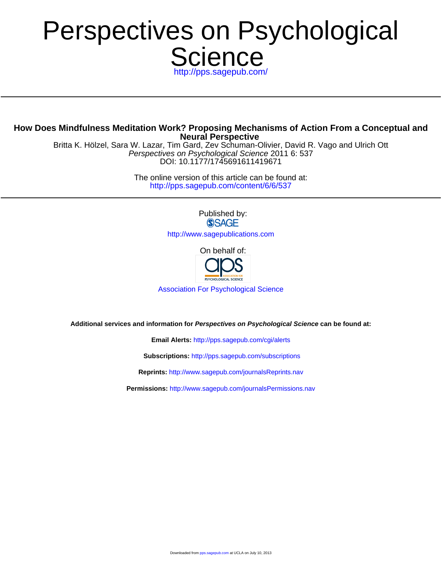# **Science** <http://pps.sagepub.com/> Perspectives on Psychological

# **Neural Perspective How Does Mindfulness Meditation Work? Proposing Mechanisms of Action From a Conceptual and**

DOI: 10.1177/1745691611419671 Perspectives on Psychological Science 2011 6: 537 Britta K. Hölzel, Sara W. Lazar, Tim Gard, Zev Schuman-Olivier, David R. Vago and Ulrich Ott

> <http://pps.sagepub.com/content/6/6/537> The online version of this article can be found at:

> > Published by: **SSAGE**

<http://www.sagepublications.com>

On behalf of:



[Association For Psychological Science](http://www.psychologicalscience.org)

**Additional services and information for Perspectives on Psychological Science can be found at:**

**Email Alerts:** <http://pps.sagepub.com/cgi/alerts>

**Subscriptions:** <http://pps.sagepub.com/subscriptions>

**Reprints:** <http://www.sagepub.com/journalsReprints.nav>

**Permissions:** <http://www.sagepub.com/journalsPermissions.nav>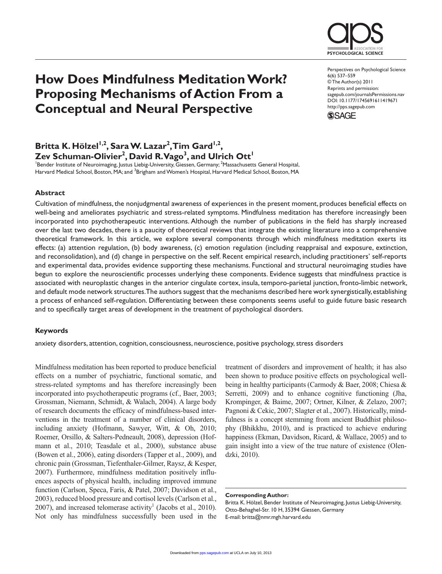# **How Does Mindfulness Meditation Work? Proposing Mechanisms of Action From a Conceptual and Neural Perspective**

Perspectives on Psychological Science 6(6) 537–559 © The Author(s) 2011 Reprints and permission: sagepub.com/journalsPermissions.nav DOI: 10.1177/1745691611419671 http://pps.sagepub.com

**PSYCHOLOGICAL SCIENCE** 



# Britta K. Hölzel<sup>1,2</sup>, Sara W. Lazar<sup>2</sup>, Tim Gard<sup>1,2</sup>,  $\mathsf{Zev}$  Schuman-Olivier<sup>2</sup>, David R.Vago<sup>3</sup>, and Ulrich Ott<sup>1</sup>

<sup>1</sup>Bender Institute of Neuroimaging, Justus Liebig-University, Giessen, Germany; <sup>2</sup>Massachusetts General Hospital, Harvard Medical School, Boston, MA; and <sup>3</sup>Brigham and Women's Hospital, Harvard Medical School, Boston, MA

#### **Abstract**

Cultivation of mindfulness, the nonjudgmental awareness of experiences in the present moment, produces beneficial effects on well-being and ameliorates psychiatric and stress-related symptoms. Mindfulness meditation has therefore increasingly been incorporated into psychotherapeutic interventions. Although the number of publications in the field has sharply increased over the last two decades, there is a paucity of theoretical reviews that integrate the existing literature into a comprehensive theoretical framework. In this article, we explore several components through which mindfulness meditation exerts its effects: (a) attention regulation, (b) body awareness, (c) emotion regulation (including reappraisal and exposure, extinction, and reconsolidation), and (d) change in perspective on the self. Recent empirical research, including practitioners' self-reports and experimental data, provides evidence supporting these mechanisms. Functional and structural neuroimaging studies have begun to explore the neuroscientific processes underlying these components. Evidence suggests that mindfulness practice is associated with neuroplastic changes in the anterior cingulate cortex, insula, temporo-parietal junction, fronto-limbic network, and default mode network structures. The authors suggest that the mechanisms described here work synergistically, establishing a process of enhanced self-regulation. Differentiating between these components seems useful to guide future basic research and to specifically target areas of development in the treatment of psychological disorders.

#### **Keywords**

anxiety disorders, attention, cognition, consciousness, neuroscience, positive psychology, stress disorders

Mindfulness meditation has been reported to produce beneficial effects on a number of psychiatric, functional somatic, and stress-related symptoms and has therefore increasingly been incorporated into psychotherapeutic programs (cf., Baer, 2003; Grossman, Niemann, Schmidt, & Walach, 2004). A large body of research documents the efficacy of mindfulness-based interventions in the treatment of a number of clinical disorders, including anxiety (Hofmann, Sawyer, Witt, & Oh, 2010; Roemer, Orsillo, & Salters-Pedneault, 2008), depression (Hofmann et al., 2010; Teasdale et al., 2000), substance abuse (Bowen et al., 2006), eating disorders (Tapper et al., 2009), and chronic pain (Grossman, Tiefenthaler-Gilmer, Raysz, & Kesper, 2007). Furthermore, mindfulness meditation positively influences aspects of physical health, including improved immune function (Carlson, Speca, Faris, & Patel, 2007; Davidson et al., 2003), reduced blood pressure and cortisol levels (Carlson et al., 2007), and increased telomerase activity<sup>1</sup> (Jacobs et al., 2010). Not only has mindfulness successfully been used in the

treatment of disorders and improvement of health; it has also been shown to produce positive effects on psychological wellbeing in healthy participants (Carmody & Baer, 2008; Chiesa & Serretti, 2009) and to enhance cognitive functioning (Jha, Krompinger, & Baime, 2007; Ortner, Kilner, & Zelazo, 2007; Pagnoni & Cekic, 2007; Slagter et al., 2007). Historically, mindfulness is a concept stemming from ancient Buddhist philosophy (Bhikkhu, 2010), and is practiced to achieve enduring happiness (Ekman, Davidson, Ricard, & Wallace, 2005) and to gain insight into a view of the true nature of existence (Olendzki, 2010).

#### **Corresponding Author:**

Britta K. Hölzel, Bender Institute of Neuroimaging, Justus Liebig-University, Otto-Behaghel-Str. 10 H, 35394 Giessen, Germany E-mail: britta@nmr.mgh.harvard.edu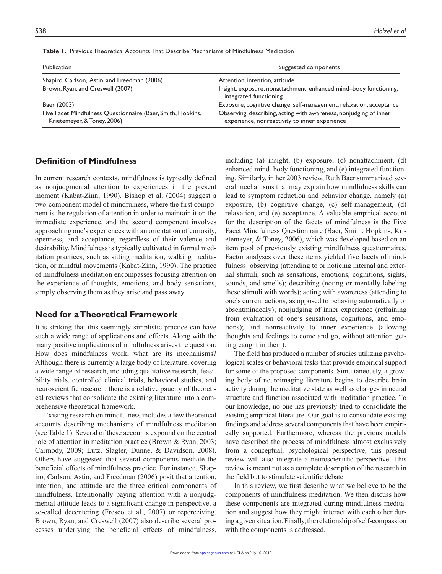| Publication                                                                                | Suggested components                                                                                               |  |  |
|--------------------------------------------------------------------------------------------|--------------------------------------------------------------------------------------------------------------------|--|--|
| Shapiro, Carlson, Astin, and Freedman (2006)                                               | Attention, intention, attitude                                                                                     |  |  |
| Brown, Ryan, and Creswell (2007)                                                           | Insight, exposure, nonattachment, enhanced mind-body functioning,<br>integrated functioning                        |  |  |
| Baer (2003)                                                                                | Exposure, cognitive change, self-management, relaxation, acceptance                                                |  |  |
| Five Facet Mindfulness Questionnaire (Baer, Smith, Hopkins,<br>Krietemeyer, & Toney, 2006) | Observing, describing, acting with awareness, nonjudging of inner<br>experience, nonreactivity to inner experience |  |  |

**Table 1.** Previous Theoretical Accounts That Describe Mechanisms of Mindfulness Meditation

## **Definition of Mindfulness**

In current research contexts, mindfulness is typically defined as nonjudgmental attention to experiences in the present moment (Kabat-Zinn, 1990). Bishop et al. (2004) suggest a two-component model of mindfulness, where the first component is the regulation of attention in order to maintain it on the immediate experience, and the second component involves approaching one's experiences with an orientation of curiosity, openness, and acceptance, regardless of their valence and desirability. Mindfulness is typically cultivated in formal meditation practices, such as sitting meditation, walking meditation, or mindful movements (Kabat-Zinn, 1990). The practice of mindfulness meditation encompasses focusing attention on the experience of thoughts, emotions, and body sensations, simply observing them as they arise and pass away.

# **Need for a Theoretical Framework**

It is striking that this seemingly simplistic practice can have such a wide range of applications and effects. Along with the many positive implications of mindfulness arises the question: How does mindfulness work; what are its mechanisms? Although there is currently a large body of literature, covering a wide range of research, including qualitative research, feasibility trials, controlled clinical trials, behavioral studies, and neuroscientific research, there is a relative paucity of theoretical reviews that consolidate the existing literature into a comprehensive theoretical framework.

Existing research on mindfulness includes a few theoretical accounts describing mechanisms of mindfulness meditation (see Table 1). Several of these accounts expound on the central role of attention in meditation practice (Brown & Ryan, 2003; Carmody, 2009; Lutz, Slagter, Dunne, & Davidson, 2008). Others have suggested that several components mediate the beneficial effects of mindfulness practice. For instance, Shapiro, Carlson, Astin, and Freedman (2006) posit that attention, intention, and attitude are the three critical components of mindfulness. Intentionally paying attention with a nonjudgmental attitude leads to a significant change in perspective, a so-called decentering (Fresco et al., 2007) or reperceiving. Brown, Ryan, and Creswell (2007) also describe several processes underlying the beneficial effects of mindfulness,

including (a) insight, (b) exposure, (c) nonattachment, (d) enhanced mind–body functioning, and (e) integrated functioning. Similarly, in her 2003 review, Ruth Baer summarized several mechanisms that may explain how mindfulness skills can lead to symptom reduction and behavior change, namely (a) exposure, (b) cognitive change, (c) self-management, (d) relaxation, and (e) acceptance. A valuable empirical account for the description of the facets of mindfulness is the Five Facet Mindfulness Questionnaire (Baer, Smith, Hopkins, Krietemeyer, & Toney, 2006), which was developed based on an item pool of previously existing mindfulness questionnaires. Factor analyses over these items yielded five facets of mindfulness: observing (attending to or noticing internal and external stimuli, such as sensations, emotions, cognitions, sights, sounds, and smells); describing (noting or mentally labeling these stimuli with words); acting with awareness (attending to one's current actions, as opposed to behaving automatically or absentmindedly); nonjudging of inner experience (refraining from evaluation of one's sensations, cognitions, and emotions); and nonreactivity to inner experience (allowing thoughts and feelings to come and go, without attention getting caught in them).

The field has produced a number of studies utilizing psychological scales or behavioral tasks that provide empirical support for some of the proposed components. Simultaneously, a growing body of neuroimaging literature begins to describe brain activity during the meditative state as well as changes in neural structure and function associated with meditation practice. To our knowledge, no one has previously tried to consolidate the existing empirical literature. Our goal is to consolidate existing findings and address several components that have been empirically supported. Furthermore, whereas the previous models have described the process of mindfulness almost exclusively from a conceptual, psychological perspective, this present review will also integrate a neuroscientific perspective. This review is meant not as a complete description of the research in the field but to stimulate scientific debate.

In this review, we first describe what we believe to be the components of mindfulness meditation. We then discuss how these components are integrated during mindfulness meditation and suggest how they might interact with each other during a given situation. Finally, the relationship of self-compassion with the components is addressed.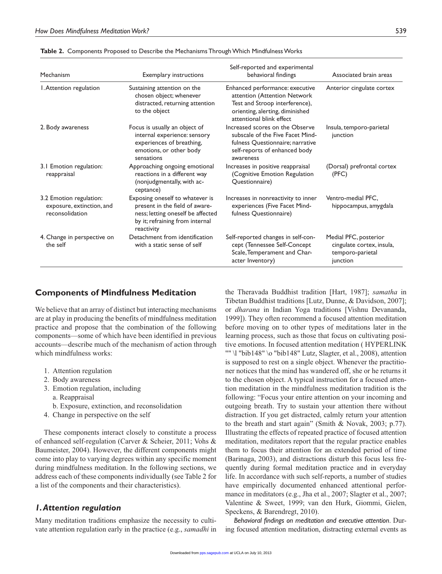| Mechanism                                                               | Exemplary instructions                                                                                                                                  | Self-reported and experimental<br>behavioral findings                                                                                                             | Associated brain areas                                                             |
|-------------------------------------------------------------------------|---------------------------------------------------------------------------------------------------------------------------------------------------------|-------------------------------------------------------------------------------------------------------------------------------------------------------------------|------------------------------------------------------------------------------------|
| I. Attention regulation                                                 | Sustaining attention on the<br>chosen object; whenever<br>distracted, returning attention<br>to the object                                              | Enhanced performance: executive<br>attention (Attention Network<br>Test and Stroop interference),<br>orienting, alerting, diminished<br>attentional blink effect. | Anterior cingulate cortex                                                          |
| 2. Body awareness                                                       | Focus is usually an object of<br>internal experience: sensory<br>experiences of breathing,<br>emotions, or other body<br>sensations                     | Increased scores on the Observe<br>subscale of the Five Facet Mind-<br>fulness Questionnaire; narrative<br>self-reports of enhanced body<br>awareness             | Insula, temporo-parietal<br>junction                                               |
| 3.1 Emotion regulation:<br>reappraisal                                  | Approaching ongoing emotional<br>reactions in a different way<br>(nonjudgmentally, with ac-<br>ceptance)                                                | Increases in positive reappraisal<br>(Cognitive Emotion Regulation<br>Questionnaire)                                                                              | (Dorsal) prefrontal cortex<br>(PFC)                                                |
| 3.2 Emotion regulation:<br>exposure, extinction, and<br>reconsolidation | Exposing oneself to whatever is<br>present in the field of aware-<br>ness; letting oneself be affected<br>by it; refraining from internal<br>reactivity | Increases in nonreactivity to inner<br>experiences (Five Facet Mind-<br>fulness Questionnaire)                                                                    | Ventro-medial PFC.<br>hippocampus, amygdala                                        |
| 4. Change in perspective on<br>the self                                 | Detachment from identification<br>with a static sense of self                                                                                           | Self-reported changes in self-con-<br>cept (Tennessee Self-Concept<br>Scale, Temperament and Char-<br>acter Inventory)                                            | Medial PFC, posterior<br>cingulate cortex, insula,<br>temporo-parietal<br>junction |

**Table 2.** Components Proposed to Describe the Mechanisms Through Which Mindfulness Works

## **Components of Mindfulness Meditation**

We believe that an array of distinct but interacting mechanisms are at play in producing the benefits of mindfulness meditation practice and propose that the combination of the following components—some of which have been identified in previous accounts—describe much of the mechanism of action through which mindfulness works:

- 1. Attention regulation
- 2. Body awareness
- 3. Emotion regulation, including
	- a. Reappraisal
	- b. Exposure, extinction, and reconsolidation
- 4. Change in perspective on the self

These components interact closely to constitute a process of enhanced self-regulation (Carver & Scheier, 2011; Vohs & Baumeister, 2004). However, the different components might come into play to varying degrees within any specific moment during mindfulness meditation. In the following sections, we address each of these components individually (see Table 2 for a list of the components and their characteristics).

#### *1. Attention regulation*

Many meditation traditions emphasize the necessity to cultivate attention regulation early in the practice (e.g., *samadhi* in

the Theravada Buddhist tradition [Hart, 1987]; *samatha* in Tibetan Buddhist traditions [Lutz, Dunne, & Davidson, 2007]; or *dharana* in Indian Yoga traditions [Vishnu Devananda, 1999]). They often recommend a focused attention meditation before moving on to other types of meditations later in the learning process, such as those that focus on cultivating positive emotions. In focused attention meditation ( HYPERLINK "" \l "bib148" \o "bib148" Lutz, Slagter, et al., 2008), attention is supposed to rest on a single object. Whenever the practitioner notices that the mind has wandered off, she or he returns it to the chosen object. A typical instruction for a focused attention meditation in the mindfulness meditation tradition is the following: "Focus your entire attention on your incoming and outgoing breath. Try to sustain your attention there without distraction. If you get distracted, calmly return your attention to the breath and start again" (Smith & Novak, 2003; p.77). Illustrating the effects of repeated practice of focused attention meditation, meditators report that the regular practice enables them to focus their attention for an extended period of time (Barinaga, 2003), and distractions disturb this focus less frequently during formal meditation practice and in everyday life. In accordance with such self-reports, a number of studies have empirically documented enhanced attentional performance in meditators (e.g., Jha et al., 2007; Slagter et al., 2007; Valentine & Sweet, 1999; van den Hurk, Giommi, Gielen, Speckens, & Barendregt, 2010).

*Behavioral findings on meditation and executive attention*. During focused attention meditation, distracting external events as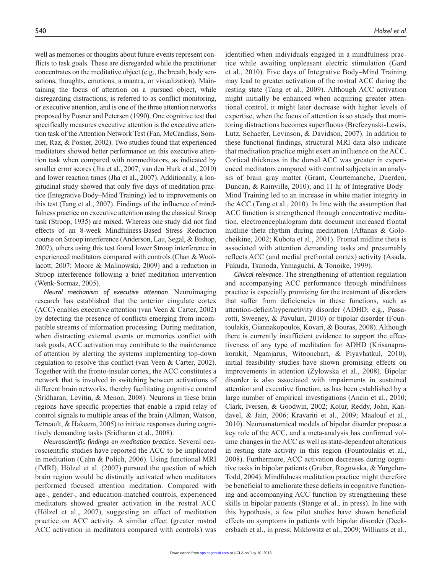well as memories or thoughts about future events represent conflicts to task goals. These are disregarded while the practitioner concentrates on the meditative object (e.g., the breath, body sensations, thoughts, emotions, a mantra, or visualization). Maintaining the focus of attention on a pursued object, while disregarding distractions, is referred to as conflict monitoring, or executive attention, and is one of the three attention networks proposed by Posner and Petersen (1990). One cognitive test that specifically measures executive attention is the executive attention task of the Attention Network Test (Fan, McCandliss, Sommer, Raz, & Posner, 2002). Two studies found that experienced meditators showed better performance on this executive attention task when compared with nonmeditators, as indicated by smaller error scores (Jha et al., 2007; van den Hurk et al., 2010) and lower reaction times (Jha et al., 2007). Additionally, a longitudinal study showed that only five days of meditation practice (Integrative Body–Mind Training) led to improvements on this test (Tang et al., 2007). Findings of the influence of mindfulness practice on executive attention using the classical Stroop task (Stroop, 1935) are mixed. Whereas one study did not find effects of an 8-week Mindfulness-Based Stress Reduction course on Stroop interference (Anderson, Lau, Segal, & Bishop, 2007), others using this test found lower Stroop interference in experienced meditators compared with controls (Chan & Woollacott, 2007; Moore & Malinowski, 2009) and a reduction in Stroop interference following a brief meditation intervention (Wenk-Sormaz, 2005).

*Neural mechanism of executive attention*. Neuroimaging research has established that the anterior cingulate cortex (ACC) enables executive attention (van Veen & Carter, 2002) by detecting the presence of conflicts emerging from incompatible streams of information processing. During meditation, when distracting external events or memories conflict with task goals, ACC activation may contribute to the maintenance of attention by alerting the systems implementing top-down regulation to resolve this conflict (van Veen & Carter, 2002). Together with the fronto-insular cortex, the ACC constitutes a network that is involved in switching between activations of different brain networks, thereby facilitating cognitive control (Sridharan, Levitin, & Menon, 2008). Neurons in these brain regions have specific properties that enable a rapid relay of control signals to multiple areas of the brain (Allman, Watson, Tetreault, & Hakeem, 2005) to initiate responses during cognitively demanding tasks (Sridharan et al., 2008).

*Neuroscientific findings on meditation practice*. Several neuroscientific studies have reported the ACC to be implicated in meditation (Cahn & Polich, 2006). Using functional MRI (fMRI), Hölzel et al. (2007) pursued the question of which brain region would be distinctly activated when meditators performed focused attention meditation. Compared with age-, gender-, and education-matched controls, experienced meditators showed greater activation in the rostral ACC (Hölzel et al., 2007), suggesting an effect of meditation practice on ACC activity. A similar effect (greater rostral ACC activation in meditators compared with controls) was

identified when individuals engaged in a mindfulness practice while awaiting unpleasant electric stimulation (Gard et al., 2010). Five days of Integrative Body–Mind Training may lead to greater activation of the rostral ACC during the resting state (Tang et al., 2009). Although ACC activation might initially be enhanced when acquiring greater attentional control, it might later decrease with higher levels of expertise, when the focus of attention is so steady that monitoring distractions becomes superfluous (Brefczynski-Lewis, Lutz, Schaefer, Levinson, & Davidson, 2007). In addition to these functional findings, structural MRI data also indicate that meditation practice might exert an influence on the ACC. Cortical thickness in the dorsal ACC was greater in experienced meditators compared with control subjects in an analysis of brain gray matter (Grant, Courtemanche, Duerden, Duncan, & Rainville, 2010), and 11 hr of Integrative Body– Mind Training led to an increase in white matter integrity in the ACC (Tang et al., 2010). In line with the assumption that ACC function is strengthened through concentrative meditation, electroencephalogram data document increased frontal midline theta rhythm during meditation (Aftanas & Golocheikine, 2002; Kubota et al., 2001). Frontal midline theta is associated with attention demanding tasks and presumably reflects ACC (and medial prefrontal cortex) activity (Asada, Fukuda, Tsunoda, Yamaguchi, & Tonoike, 1999).

*Clinical relevance*. The strengthening of attention regulation and accompanying ACC performance through mindfulness practice is especially promising for the treatment of disorders that suffer from deficiencies in these functions, such as attention-deficit/hyperactivity disorder (ADHD; e.g., Passarotti, Sweeney, & Pavuluri, 2010) or bipolar disorder (Fountoulakis, Giannakopoulos, Kovari, & Bouras, 2008). Although there is currently insufficient evidence to support the effectiveness of any type of meditation for ADHD (Krisanaprakornkit, Ngamjarus, Witoonchart, & Piyavhatkul, 2010), initial feasibility studies have shown promising effects on improvements in attention (Zylowska et al., 2008). Bipolar disorder is also associated with impairments in sustained attention and executive function, as has been established by a large number of empirical investigations (Ancin et al., 2010; Clark, Iversen, & Goodwin, 2002; Kolur, Reddy, John, Kandavel, & Jain, 2006; Kravariti et al., 2009; Maalouf et al., 2010). Neuroanatomical models of bipolar disorder propose a key role of the ACC, and a meta-analysis has confirmed volume changes in the ACC as well as state-dependent alterations in resting state activity in this region (Fountoulakis et al., 2008). Furthermore, ACC activation decreases during cognitive tasks in bipolar patients (Gruber, Rogowska, & Yurgelun-Todd, 2004). Mindfulness meditation practice might therefore be beneficial to ameliorate these deficits in cognitive functioning and accompanying ACC function by strengthening these skills in bipolar patients (Stange et al., in press). In line with this hypothesis, a few pilot studies have shown beneficial effects on symptoms in patients with bipolar disorder (Deckersbach et al., in press; Miklowitz et al., 2009; Williams et al.,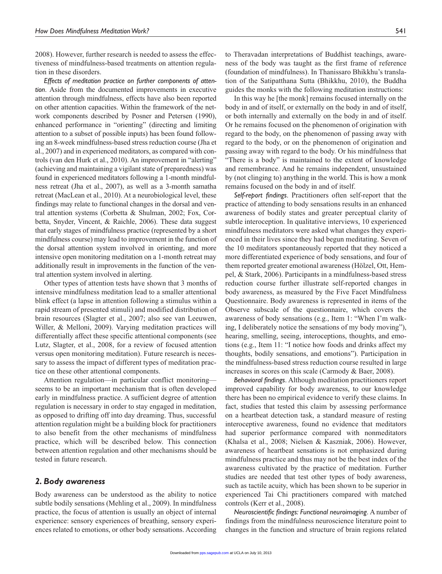2008). However, further research is needed to assess the effectiveness of mindfulness-based treatments on attention regulation in these disorders.

*Effects of meditation practice on further components of attention*. Aside from the documented improvements in executive attention through mindfulness, effects have also been reported on other attention capacities. Within the framework of the network components described by Posner and Petersen (1990), enhanced performance in "orienting" (directing and limiting attention to a subset of possible inputs) has been found following an 8-week mindfulness-based stress reduction course (Jha et al., 2007) and in experienced meditators, as compared with controls (van den Hurk et al., 2010). An improvement in "alerting" (achieving and maintaining a vigilant state of preparedness) was found in experienced meditators following a 1-month mindfulness retreat (Jha et al., 2007), as well as a 3-month samatha retreat (MacLean et al., 2010). At a neurobiological level, these findings may relate to functional changes in the dorsal and ventral attention systems (Corbetta & Shulman, 2002; Fox, Corbetta, Snyder, Vincent, & Raichle, 2006). These data suggest that early stages of mindfulness practice (represented by a short mindfulness course) may lead to improvement in the function of the dorsal attention system involved in orienting, and more intensive open monitoring meditation on a 1-month retreat may additionally result in improvements in the function of the ventral attention system involved in alerting.

Other types of attention tests have shown that 3 months of intensive mindfulness meditation lead to a smaller attentional blink effect (a lapse in attention following a stimulus within a rapid stream of presented stimuli) and modified distribution of brain resources (Slagter et al., 2007; also see van Leeuwen, Willer, & Melloni, 2009). Varying meditation practices will differentially affect these specific attentional components (see Lutz, Slagter, et al., 2008, for a review of focused attention versus open monitoring meditation). Future research is necessary to assess the impact of different types of meditation practice on these other attentional components.

Attention regulation—in particular conflict monitoring seems to be an important mechanism that is often developed early in mindfulness practice. A sufficient degree of attention regulation is necessary in order to stay engaged in meditation, as opposed to drifting off into day dreaming. Thus, successful attention regulation might be a building block for practitioners to also benefit from the other mechanisms of mindfulness practice, which will be described below. This connection between attention regulation and other mechanisms should be tested in future research.

#### *2. Body awareness*

Body awareness can be understood as the ability to notice subtle bodily sensations (Mehling et al., 2009). In mindfulness practice, the focus of attention is usually an object of internal experience: sensory experiences of breathing, sensory experiences related to emotions, or other body sensations. According

to Theravadan interpretations of Buddhist teachings, awareness of the body was taught as the first frame of reference (foundation of mindfulness). In Thanissaro Bhikkhu's translation of the Satipatthana Sutta (Bhikkhu, 2010), the Buddha guides the monks with the following meditation instructions:

In this way he [the monk] remains focused internally on the body in and of itself, or externally on the body in and of itself, or both internally and externally on the body in and of itself. Or he remains focused on the phenomenon of origination with regard to the body, on the phenomenon of passing away with regard to the body, or on the phenomenon of origination and passing away with regard to the body. Or his mindfulness that "There is a body" is maintained to the extent of knowledge and remembrance. And he remains independent, unsustained by (not clinging to) anything in the world. This is how a monk remains focused on the body in and of itself.

*Self-report findings*. Practitioners often self-report that the practice of attending to body sensations results in an enhanced awareness of bodily states and greater perceptual clarity of subtle interoception. In qualitative interviews, 10 experienced mindfulness meditators were asked what changes they experienced in their lives since they had begun meditating. Seven of the 10 meditators spontaneously reported that they noticed a more differentiated experience of body sensations, and four of them reported greater emotional awareness (Hölzel, Ott, Hempel, & Stark, 2006). Participants in a mindfulness-based stress reduction course further illustrate self-reported changes in body awareness, as measured by the Five Facet Mindfulness Questionnaire. Body awareness is represented in items of the Observe subscale of the questionnaire, which covers the awareness of body sensations (e.g., Item 1: "When I'm walking, I deliberately notice the sensations of my body moving"), hearing, smelling, seeing, interoceptions, thoughts, and emotions (e.g., Item 11: "I notice how foods and drinks affect my thoughts, bodily sensations, and emotions"). Participation in the mindfulness-based stress reduction course resulted in large increases in scores on this scale (Carmody & Baer, 2008).

*Behavioral findings*. Although meditation practitioners report improved capability for body awareness, to our knowledge there has been no empirical evidence to verify these claims. In fact, studies that tested this claim by assessing performance on a heartbeat detection task, a standard measure of resting interoceptive awareness, found no evidence that meditators had superior performance compared with nonmeditators (Khalsa et al., 2008; Nielsen & Kaszniak, 2006). However, awareness of heartbeat sensations is not emphasized during mindfulness practice and thus may not be the best index of the awareness cultivated by the practice of meditation. Further studies are needed that test other types of body awareness, such as tactile acuity, which has been shown to be superior in experienced Tai Chi practitioners compared with matched controls (Kerr et al., 2008).

*Neuroscientific findings: Functional neuroimaging*. A number of findings from the mindfulness neuroscience literature point to changes in the function and structure of brain regions related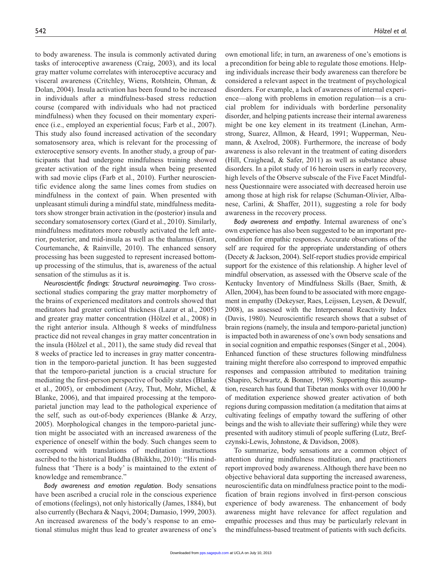to body awareness. The insula is commonly activated during tasks of interoceptive awareness (Craig, 2003), and its local gray matter volume correlates with interoceptive accuracy and visceral awareness (Critchley, Wiens, Rotshtein, Ohman, & Dolan, 2004). Insula activation has been found to be increased in individuals after a mindfulness-based stress reduction course (compared with individuals who had not practiced mindfulness) when they focused on their momentary experience (i.e., employed an experiential focus; Farb et al., 2007). This study also found increased activation of the secondary somatosensory area, which is relevant for the processing of exteroceptive sensory events. In another study, a group of participants that had undergone mindfulness training showed greater activation of the right insula when being presented with sad movie clips (Farb et al., 2010). Further neuroscien-

tific evidence along the same lines comes from studies on mindfulness in the context of pain. When presented with unpleasant stimuli during a mindful state, mindfulness meditators show stronger brain activation in the (posterior) insula and secondary somatosensory cortex (Gard et al., 2010). Similarly, mindfulness meditators more robustly activated the left anterior, posterior, and mid-insula as well as the thalamus (Grant, Courtemanche, & Rainville, 2010). The enhanced sensory processing has been suggested to represent increased bottomup processing of the stimulus, that is, awareness of the actual sensation of the stimulus as it is.

*Neuroscientific findings: Structural neuroimaging*. Two crosssectional studies comparing the gray matter morphometry of the brains of experienced meditators and controls showed that meditators had greater cortical thickness (Lazar et al., 2005) and greater gray matter concentration (Hölzel et al., 2008) in the right anterior insula. Although 8 weeks of mindfulness practice did not reveal changes in gray matter concentration in the insula (Hölzel et al., 2011), the same study did reveal that 8 weeks of practice led to increases in gray matter concentration in the temporo-parietal junction. It has been suggested that the temporo-parietal junction is a crucial structure for mediating the first-person perspective of bodily states (Blanke et al., 2005), or embodiment (Arzy, Thut, Mohr, Michel, & Blanke, 2006), and that impaired processing at the temporoparietal junction may lead to the pathological experience of the self, such as out-of-body experiences (Blanke & Arzy, 2005). Morphological changes in the temporo-parietal junction might be associated with an increased awareness of the experience of oneself within the body. Such changes seem to correspond with translations of meditation instructions ascribed to the historical Buddha (Bhikkhu, 2010): "His mindfulness that 'There is a body' is maintained to the extent of knowledge and remembrance."

*Body awareness and emotion regulation*. Body sensations have been ascribed a crucial role in the conscious experience of emotions (feelings), not only historically (James, 1884), but also currently (Bechara & Naqvi, 2004; Damasio, 1999, 2003). An increased awareness of the body's response to an emotional stimulus might thus lead to greater awareness of one's

own emotional life; in turn, an awareness of one's emotions is a precondition for being able to regulate those emotions. Helping individuals increase their body awareness can therefore be considered a relevant aspect in the treatment of psychological disorders. For example, a lack of awareness of internal experience—along with problems in emotion regulation—is a crucial problem for individuals with borderline personality disorder, and helping patients increase their internal awareness might be one key element in its treatment (Linehan, Armstrong, Suarez, Allmon, & Heard, 1991; Wupperman, Neumann, & Axelrod, 2008). Furthermore, the increase of body awareness is also relevant in the treatment of eating disorders (Hill, Craighead, & Safer, 2011) as well as substance abuse disorders. In a pilot study of 16 heroin users in early recovery, high levels of the Observe subscale of the Five Facet Mindfulness Questionnaire were associated with decreased heroin use among those at high risk for relapse (Schuman-Olivier, Albanese, Carlini, & Shaffer, 2011), suggesting a role for body awareness in the recovery process.

*Body awareness and empathy*. Internal awareness of one's own experience has also been suggested to be an important precondition for empathic responses. Accurate observations of the self are required for the appropriate understanding of others (Decety & Jackson, 2004). Self-report studies provide empirical support for the existence of this relationship. A higher level of mindful observation, as assessed with the Observe scale of the Kentucky Inventory of Mindfulness Skills (Baer, Smith, & Allen, 2004), has been found to be associated with more engagement in empathy (Dekeyser, Raes, Leijssen, Leysen, & Dewulf, 2008), as assessed with the Interpersonal Reactivity Index (Davis, 1980). Neuroscientific research shows that a subset of brain regions (namely, the insula and temporo-parietal junction) is impacted both in awareness of one's own body sensations and in social cognition and empathic responses (Singer et al., 2004). Enhanced function of these structures following mindfulness training might therefore also correspond to improved empathic responses and compassion attributed to meditation training (Shapiro, Schwartz, & Bonner, 1998). Supporting this assumption, research has found that Tibetan monks with over 10,000 hr of meditation experience showed greater activation of both regions during compassion meditation (a meditation that aims at cultivating feelings of empathy toward the suffering of other beings and the wish to alleviate their suffering) while they were presented with auditory stimuli of people suffering (Lutz, Brefczynski-Lewis, Johnstone, & Davidson, 2008).

To summarize, body sensations are a common object of attention during mindfulness meditation, and practitioners report improved body awareness. Although there have been no objective behavioral data supporting the increased awareness, neuroscientific data on mindfulness practice point to the modification of brain regions involved in first-person conscious experience of body awareness. The enhancement of body awareness might have relevance for affect regulation and empathic processes and thus may be particularly relevant in the mindfulness-based treatment of patients with such deficits.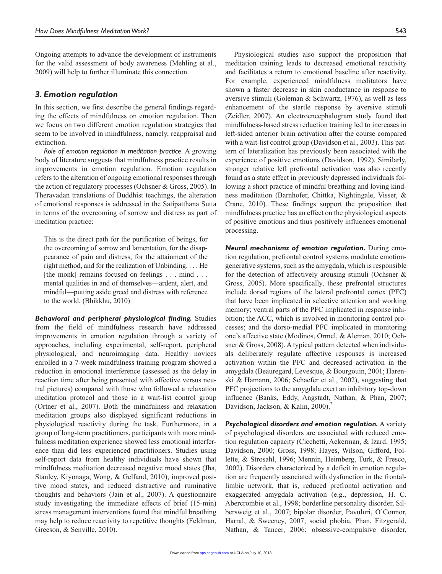Ongoing attempts to advance the development of instruments for the valid assessment of body awareness (Mehling et al., 2009) will help to further illuminate this connection.

#### *3. Emotion regulation*

In this section, we first describe the general findings regarding the effects of mindfulness on emotion regulation. Then we focus on two different emotion regulation strategies that seem to be involved in mindfulness, namely, reappraisal and extinction.

*Role of emotion regulation in meditation practice*. A growing body of literature suggests that mindfulness practice results in improvements in emotion regulation. Emotion regulation refers to the alteration of ongoing emotional responses through the action of regulatory processes (Ochsner & Gross, 2005). In Theravadan translations of Buddhist teachings, the alteration of emotional responses is addressed in the Satipatthana Sutta in terms of the overcoming of sorrow and distress as part of meditation practice:

This is the direct path for the purification of beings, for the overcoming of sorrow and lamentation, for the disappearance of pain and distress, for the attainment of the right method, and for the realization of Unbinding. . . . He [the monk] remains focused on feelings . . . mind . . . mental qualities in and of themselves—ardent, alert, and mindful—putting aside greed and distress with reference to the world. (Bhikkhu, 2010)

*Behavioral and peripheral physiological finding.* Studies from the field of mindfulness research have addressed improvements in emotion regulation through a variety of approaches, including experimental, self-report, peripheral physiological, and neuroimaging data. Healthy novices enrolled in a 7-week mindfulness training program showed a reduction in emotional interference (assessed as the delay in reaction time after being presented with affective versus neutral pictures) compared with those who followed a relaxation meditation protocol and those in a wait-list control group (Ortner et al., 2007). Both the mindfulness and relaxation meditation groups also displayed significant reductions in physiological reactivity during the task. Furthermore, in a group of long-term practitioners, participants with more mindfulness meditation experience showed less emotional interference than did less experienced practitioners. Studies using self-report data from healthy individuals have shown that mindfulness meditation decreased negative mood states (Jha, Stanley, Kiyonaga, Wong, & Gelfand, 2010), improved positive mood states, and reduced distractive and ruminative thoughts and behaviors (Jain et al., 2007). A questionnaire study investigating the immediate effects of brief (15-min) stress management interventions found that mindful breathing may help to reduce reactivity to repetitive thoughts (Feldman, Greeson, & Senville, 2010).

Physiological studies also support the proposition that meditation training leads to decreased emotional reactivity and facilitates a return to emotional baseline after reactivity. For example, experienced mindfulness meditators have shown a faster decrease in skin conductance in response to aversive stimuli (Goleman & Schwartz, 1976), as well as less enhancement of the startle response by aversive stimuli (Zeidler, 2007). An electroencephalogram study found that mindfulness-based stress reduction training led to increases in left-sided anterior brain activation after the course compared with a wait-list control group (Davidson et al., 2003). This pattern of lateralization has previously been associated with the experience of positive emotions (Davidson, 1992). Similarly, stronger relative left prefrontal activation was also recently found as a state effect in previously depressed individuals following a short practice of mindful breathing and loving kindness meditation (Barnhofer, Chittka, Nightingale, Visser, & Crane, 2010). These findings support the proposition that mindfulness practice has an effect on the physiological aspects of positive emotions and thus positively influences emotional processing.

*Neural mechanisms of emotion regulation.* During emotion regulation, prefrontal control systems modulate emotiongenerative systems, such as the amygdala, which is responsible for the detection of affectively arousing stimuli (Ochsner & Gross, 2005). More specifically, these prefrontal structures include dorsal regions of the lateral prefrontal cortex (PFC) that have been implicated in selective attention and working memory; ventral parts of the PFC implicated in response inhibition; the ACC, which is involved in monitoring control processes; and the dorso-medial PFC implicated in monitoring one's affective state (Modinos, Ormel, & Aleman, 2010; Ochsner & Gross, 2008). A typical pattern detected when individuals deliberately regulate affective responses is increased activation within the PFC and decreased activation in the amygdala (Beauregard, Levesque, & Bourgouin, 2001; Harenski & Hamann, 2006; Schaefer et al., 2002), suggesting that PFC projections to the amygdala exert an inhibitory top-down influence (Banks, Eddy, Angstadt, Nathan, & Phan, 2007; Davidson, Jackson, & Kalin, 2000).<sup>2</sup>

*Psychological disorders and emotion regulation.* A variety of psychological disorders are associated with reduced emotion regulation capacity (Cicchetti, Ackerman, & Izard, 1995; Davidson, 2000; Gross, 1998; Hayes, Wilson, Gifford, Follette, & Strosahl, 1996; Mennin, Heimberg, Turk, & Fresco, 2002). Disorders characterized by a deficit in emotion regulation are frequently associated with dysfunction in the frontallimbic network, that is, reduced prefrontal activation and exaggerated amygdala activation (e.g., depression, H. C. Abercrombie et al., 1998; borderline personality disorder, Silbersweig et al., 2007; bipolar disorder, Pavuluri, O'Connor, Harral, & Sweeney, 2007; social phobia, Phan, Fitzgerald, Nathan, & Tancer, 2006; obsessive-compulsive disorder,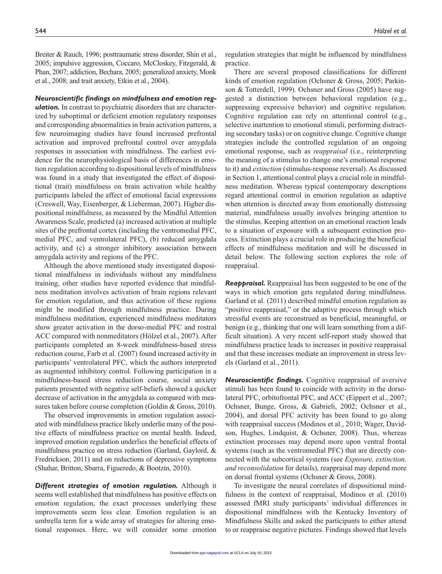et al., 2008; and trait anxiety, Etkin et al., 2004).

*Neuroscientific findings on mindfulness and emotion regulation.* In contrast to psychiatric disorders that are characterized by suboptimal or deficient emotion regulatory responses and corresponding abnormalities in brain activation patterns, a few neuroimaging studies have found increased prefrontal activation and improved prefrontal control over amygdala responses in association with mindfulness. The earliest evidence for the neurophysiological basis of differences in emotion regulation according to dispositional levels of mindfulness was found in a study that investigated the effect of dispositional (trait) mindfulness on brain activation while healthy participants labeled the affect of emotional facial expressions (Creswell, Way, Eisenberger, & Lieberman, 2007). Higher dispositional mindfulness, as measured by the Mindful Attention Awareness Scale, predicted (a) increased activation at multiple sites of the prefrontal cortex (including the ventromedial PFC, medial PFC, and ventrolateral PFC), (b) reduced amygdala activity, and (c) a stronger inhibitory association between amygdala activity and regions of the PFC.

Although the above mentioned study investigated dispositional mindfulness in individuals without any mindfulness training, other studies have reported evidence that mindfulness meditation involves activation of brain regions relevant for emotion regulation, and thus activation of these regions might be modified through mindfulness practice. During mindfulness meditation, experienced mindfulness meditators show greater activation in the dorso-medial PFC and rostral ACC compared with nonmeditators (Hölzel et al., 2007). After participants completed an 8-week mindfulness-based stress reduction course, Farb et al. (2007) found increased activity in participants' ventrolateral PFC, which the authors interpreted as augmented inhibitory control. Following participation in a mindfulness-based stress reduction course, social anxiety patients presented with negative self-beliefs showed a quicker decrease of activation in the amygdala as compared with measures taken before course completion (Goldin & Gross, 2010).

The observed improvements in emotion regulation associated with mindfulness practice likely underlie many of the positive effects of mindfulness practice on mental health. Indeed, improved emotion regulation underlies the beneficial effects of mindfulness practice on stress reduction (Garland, Gaylord, & Fredrickson, 2011) and on reductions of depressive symptoms (Shahar, Britton, Sbarra, Figueredo, & Bootzin, 2010).

*Different strategies of emotion regulation.* Although it seems well established that mindfulness has positive effects on emotion regulation, the exact processes underlying these improvements seem less clear. Emotion regulation is an umbrella term for a wide array of strategies for altering emotional responses. Here, we will consider some emotion

regulation strategies that might be influenced by mindfulness practice.

There are several proposed classifications for different kinds of emotion regulation (Ochsner & Gross, 2005; Parkinson & Totterdell, 1999). Ochsner and Gross (2005) have suggested a distinction between behavioral regulation (e.g., suppressing expressive behavior) and cognitive regulation. Cognitive regulation can rely on attentional control (e.g., selective inattention to emotional stimuli, performing distracting secondary tasks) or on cognitive change. Cognitive change strategies include the controlled regulation of an ongoing emotional response, such as *reappraisal* (i.e., reinterpreting the meaning of a stimulus to change one's emotional response to it) and *extinction* (stimulus-response reversal). As discussed in Section 1, attentional control plays a crucial role in mindfulness meditation. Whereas typical contemporary descriptions regard attentional control in emotion regulation as adaptive when attention is directed away from emotionally distressing material, mindfulness usually involves bringing attention to the stimulus. Keeping attention on an emotional reaction leads to a situation of exposure with a subsequent extinction process. Extinction plays a crucial role in producing the beneficial effects of mindfulness meditation and will be discussed in detail below. The following section explores the role of reappraisal.

*Reappraisal.* Reappraisal has been suggested to be one of the ways in which emotion gets regulated during mindfulness. Garland et al. (2011) described mindful emotion regulation as "positive reappraisal," or the adaptive process through which stressful events are reconstrued as beneficial, meaningful, or benign (e.g., thinking that one will learn something from a difficult situation). A very recent self-report study showed that mindfulness practice leads to increases in positive reappraisal and that these increases mediate an improvement in stress levels (Garland et al., 2011).

*Neuroscientific findings.* Cognitive reappraisal of aversive stimuli has been found to coincide with activity in the dorsolateral PFC, orbitofrontal PFC, and ACC (Eippert et al., 2007; Ochsner, Bunge, Gross, & Gabrieli, 2002; Ochsner et al., 2004), and dorsal PFC activity has been found to go along with reappraisal success (Modinos et al., 2010; Wager, Davidson, Hughes, Lindquist, & Ochsner, 2008). Thus, whereas extinction processes may depend more upon ventral frontal systems (such as the ventromedial PFC) that are directly connected with the subcortical systems (see *Exposure, extinction, and reconsolidation* for details), reappraisal may depend more on dorsal frontal systems (Ochsner & Gross, 2008).

To investigate the neural correlates of dispositional mindfulness in the context of reappraisal, Modinos et al. (2010) assessed fMRI study participants' individual differences in dispositional mindfulness with the Kentucky Inventory of Mindfulness Skills and asked the participants to either attend to or reappraise negative pictures. Findings showed that levels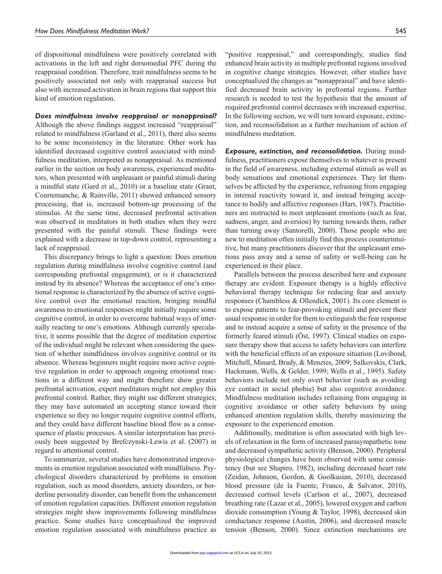of dispositional mindfulness were positively correlated with activations in the left and right dorsomedial PFC during the reappraisal condition. Therefore, trait mindfulness seems to be positively associated not only with reappraisal success but also with increased activation in brain regions that support this kind of emotion regulation.

*Does mindfulness involve reappraisal or nonappraisal?*  Although the above findings suggest increased "reappraisal" related to mindfulness (Garland et al., 2011), there also seems to be some inconsistency in the literature. Other work has identified decreased cognitive control associated with mindfulness meditation, interpreted as nonappraisal. As mentioned earlier in the section on body awareness, experienced meditators, when presented with unpleasant or painful stimuli during a mindful state (Gard et al., 2010) or a baseline state (Grant, Courtemanche, & Rainville, 2011) showed enhanced sensory processing, that is, increased bottom-up processing of the stimulus. At the same time, decreased prefrontal activation was observed in meditators in both studies when they were presented with the painful stimuli. These findings were explained with a decrease in top-down control, representing a lack of reappraisal.

This discrepancy brings to light a question: Does emotion regulation during mindfulness involve cognitive control (and corresponding prefrontal engagement), or is it characterized instead by its absence? Whereas the acceptance of one's emotional response is characterized by the absence of active cognitive control over the emotional reaction, bringing mindful awareness to emotional responses might initially require some cognitive control, in order to overcome habitual ways of internally reacting to one's emotions. Although currently speculative, it seems possible that the degree of meditation expertise of the individual might be relevant when considering the question of whether mindfulness involves cognitive control or its absence. Whereas beginners might require more active cognitive regulation in order to approach ongoing emotional reactions in a different way and might therefore show greater prefrontal activation, expert meditators might not employ this prefrontal control. Rather, they might use different strategies; they may have automated an accepting stance toward their experience so they no longer require cognitive control efforts, and they could have different baseline blood flow as a consequence of plastic processes. A similar interpretation has previously been suggested by Brefczynski-Lewis et al. (2007) in regard to attentional control.

To summarize, several studies have demonstrated improvements in emotion regulation associated with mindfulness. Psychological disorders characterized by problems in emotion regulation, such as mood disorders, anxiety disorders, or borderline personality disorder, can benefit from the enhancement of emotion regulation capacities. Different emotion regulation strategies might show improvements following mindfulness practice. Some studies have conceptualized the improved emotion regulation associated with mindfulness practice as "positive reappraisal," and correspondingly, studies find enhanced brain activity in multiple prefrontal regions involved in cognitive change strategies. However, other studies have conceptualized the changes as "nonappraisal" and have identified decreased brain activity in prefrontal regions. Further research is needed to test the hypothesis that the amount of required prefrontal control decreases with increased expertise. In the following section, we will turn toward exposure, extinction, and reconsolidation as a further mechanism of action of mindfulness meditation.

*Exposure, extinction, and reconsolidation.* During mindfulness, practitioners expose themselves to whatever is present in the field of awareness, including external stimuli as well as body sensations and emotional experiences. They let themselves be affected by the experience, refraining from engaging in internal reactivity toward it, and instead bringing acceptance to bodily and affective responses (Hart, 1987). Practitioners are instructed to meet unpleasant emotions (such as fear, sadness, anger, and aversion) by turning towards them, rather than turning away (Santorelli, 2000). Those people who are new to meditation often initially find this process counterintuitive, but many practitioners discover that the unpleasant emotions pass away and a sense of safety or well-being can be experienced in their place.

Parallels between the process described here and exposure therapy are evident. Exposure therapy is a highly effective behavioral therapy technique for reducing fear and anxiety responses (Chambless & Ollendick, 2001). Its core element is to expose patients to fear-provoking stimuli and prevent their usual response in order for them to extinguish the fear response and to instead acquire a sense of safety in the presence of the formerly feared stimuli (Öst, 1997). Clinical studies on exposure therapy show that access to safety behaviors can interfere with the beneficial effects of an exposure situation (Lovibond, Mitchell, Minard, Brady, & Menzies, 2009; Salkovskis, Clark, Hackmann, Wells, & Gelder, 1999; Wells et al., 1995). Safety behaviors include not only overt behavior (such as avoiding eye contact in social phobia) but also cognitive avoidance. Mindfulness meditation includes refraining from engaging in cognitive avoidance or other safety behaviors by using enhanced attention regulation skills, thereby maximizing the exposure to the experienced emotion.

Additionally, meditation is often associated with high levels of relaxation in the form of increased parasympathetic tone and decreased sympathetic activity (Benson, 2000). Peripheral physiological changes have been observed with some consistency (but see Shapiro, 1982), including decreased heart rate (Zeidan, Johnson, Gordon, & Goolkasian, 2010), decreased blood pressure (de la Fuente, Franco, & Salvator, 2010), decreased cortisol levels (Carlson et al., 2007), decreased breathing rate (Lazar et al., 2005), lowered oxygen and carbon dioxide consumption (Young & Taylor, 1998), decreased skin conductance response (Austin, 2006), and decreased muscle tension (Benson, 2000). Since extinction mechanisms are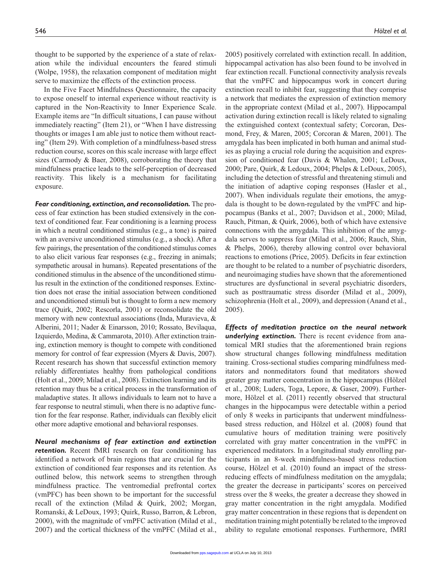thought to be supported by the experience of a state of relaxation while the individual encounters the feared stimuli (Wolpe, 1958), the relaxation component of meditation might serve to maximize the effects of the extinction process.

In the Five Facet Mindfulness Questionnaire, the capacity to expose oneself to internal experience without reactivity is captured in the Non-Reactivity to Inner Experience Scale. Example items are "In difficult situations, I can pause without immediately reacting" (Item 21), or "When I have distressing thoughts or images I am able just to notice them without reacting" (Item 29). With completion of a mindfulness-based stress reduction course, scores on this scale increase with large effect sizes (Carmody & Baer, 2008), corroborating the theory that mindfulness practice leads to the self-perception of decreased reactivity. This likely is a mechanism for facilitating exposure.

*Fear conditioning, extinction, and reconsolidation.* The process of fear extinction has been studied extensively in the context of conditioned fear. Fear conditioning is a learning process in which a neutral conditioned stimulus (e.g., a tone) is paired with an aversive unconditioned stimulus (e.g., a shock). After a few pairings, the presentation of the conditioned stimulus comes to also elicit various fear responses (e.g., freezing in animals; sympathetic arousal in humans). Repeated presentations of the conditioned stimulus in the absence of the unconditioned stimulus result in the extinction of the conditioned responses. Extinction does not erase the initial association between conditioned and unconditioned stimuli but is thought to form a new memory trace (Quirk, 2002; Rescorla, 2001) or reconsolidate the old memory with new contextual associations (Inda, Muravieva, & Alberini, 2011; Nader & Einarsson, 2010; Rossato, Bevilaqua, Izquierdo, Medina, & Cammarota, 2010). After extinction training, extinction memory is thought to compete with conditioned memory for control of fear expression (Myers & Davis, 2007). Recent research has shown that successful extinction memory reliably differentiates healthy from pathological conditions (Holt et al., 2009; Milad et al., 2008). Extinction learning and its retention may thus be a critical process in the transformation of maladaptive states. It allows individuals to learn not to have a fear response to neutral stimuli, when there is no adaptive function for the fear response. Rather, individuals can flexibly elicit other more adaptive emotional and behavioral responses.

*Neural mechanisms of fear extinction and extinction retention.* Recent fMRI research on fear conditioning has identified a network of brain regions that are crucial for the extinction of conditioned fear responses and its retention. As outlined below, this network seems to strengthen through mindfulness practice. The ventromedial prefrontal cortex (vmPFC) has been shown to be important for the successful recall of the extinction (Milad & Quirk, 2002; Morgan, Romanski, & LeDoux, 1993; Quirk, Russo, Barron, & Lebron, 2000), with the magnitude of vmPFC activation (Milad et al., 2007) and the cortical thickness of the vmPFC (Milad et al.,

2005) positively correlated with extinction recall. In addition, hippocampal activation has also been found to be involved in fear extinction recall. Functional connectivity analysis reveals that the vmPFC and hippocampus work in concert during extinction recall to inhibit fear, suggesting that they comprise a network that mediates the expression of extinction memory in the appropriate context (Milad et al., 2007). Hippocampal activation during extinction recall is likely related to signaling the extinguished context (contextual safety; Corcoran, Desmond, Frey, & Maren, 2005; Corcoran & Maren, 2001). The amygdala has been implicated in both human and animal studies as playing a crucial role during the acquisition and expression of conditioned fear (Davis & Whalen, 2001; LeDoux, 2000; Pare, Quirk, & Ledoux, 2004; Phelps & LeDoux, 2005), including the detection of stressful and threatening stimuli and the initiation of adaptive coping responses (Hasler et al., 2007). When individuals regulate their emotions, the amygdala is thought to be down-regulated by the vmPFC and hippocampus (Banks et al., 2007; Davidson et al., 2000; Milad, Rauch, Pitman, & Quirk, 2006), both of which have extensive connections with the amygdala. This inhibition of the amygdala serves to suppress fear (Milad et al., 2006; Rauch, Shin, & Phelps, 2006), thereby allowing control over behavioral reactions to emotions (Price, 2005). Deficits in fear extinction are thought to be related to a number of psychiatric disorders, and neuroimaging studies have shown that the aforementioned structures are dysfunctional in several psychiatric disorders, such as posttraumatic stress disorder (Milad et al., 2009), schizophrenia (Holt et al., 2009), and depression (Anand et al., 2005).

*Effects of meditation practice on the neural network underlying extinction.* There is recent evidence from anatomical MRI studies that the aforementioned brain regions show structural changes following mindfulness meditation training. Cross-sectional studies comparing mindfulness meditators and nonmeditators found that meditators showed greater gray matter concentration in the hippocampus (Hölzel et al., 2008; Luders, Toga, Lepore, & Gaser, 2009). Furthermore, Hölzel et al. (2011) recently observed that structural changes in the hippocampus were detectable within a period of only 8 weeks in participants that underwent mindfulnessbased stress reduction, and Hölzel et al. (2008) found that cumulative hours of meditation training were positively correlated with gray matter concentration in the vmPFC in experienced meditators. In a longitudinal study enrolling participants in an 8-week mindfulness-based stress reduction course, Hölzel et al. (2010) found an impact of the stressreducing effects of mindfulness meditation on the amygdala; the greater the decrease in participants' scores on perceived stress over the 8 weeks, the greater a decrease they showed in gray matter concentration in the right amygdala. Modified gray matter concentration in these regions that is dependent on meditation training might potentially be related to the improved ability to regulate emotional responses. Furthermore, fMRI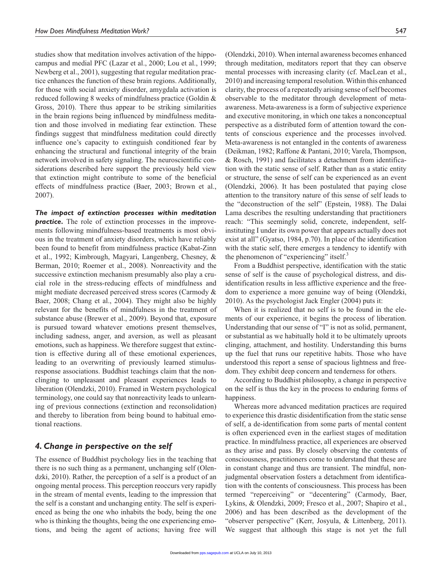studies show that meditation involves activation of the hippocampus and medial PFC (Lazar et al., 2000; Lou et al., 1999; Newberg et al., 2001), suggesting that regular meditation practice enhances the function of these brain regions. Additionally, for those with social anxiety disorder, amygdala activation is reduced following 8 weeks of mindfulness practice (Goldin & Gross, 2010). There thus appear to be striking similarities in the brain regions being influenced by mindfulness meditation and those involved in mediating fear extinction. These findings suggest that mindfulness meditation could directly influence one's capacity to extinguish conditioned fear by enhancing the structural and functional integrity of the brain network involved in safety signaling. The neuroscientific considerations described here support the previously held view that extinction might contribute to some of the beneficial effects of mindfulness practice (Baer, 2003; Brown et al., 2007).

*The impact of extinction processes within meditation*  **practice.** The role of extinction processes in the improvements following mindfulness-based treatments is most obvious in the treatment of anxiety disorders, which have reliably been found to benefit from mindfulness practice (Kabat-Zinn et al., 1992; Kimbrough, Magyari, Langenberg, Chesney, & Berman, 2010; Roemer et al., 2008). Nonreactivity and the successive extinction mechanism presumably also play a crucial role in the stress-reducing effects of mindfulness and might mediate decreased perceived stress scores (Carmody & Baer, 2008; Chang et al., 2004). They might also be highly relevant for the benefits of mindfulness in the treatment of substance abuse (Brewer et al., 2009). Beyond that, exposure is pursued toward whatever emotions present themselves, including sadness, anger, and aversion, as well as pleasant emotions, such as happiness. We therefore suggest that extinction is effective during all of these emotional experiences, leading to an overwriting of previously learned stimulusresponse associations. Buddhist teachings claim that the nonclinging to unpleasant and pleasant experiences leads to liberation (Olendzki, 2010). Framed in Western psychological terminology, one could say that nonreactivity leads to unlearning of previous connections (extinction and reconsolidation) and thereby to liberation from being bound to habitual emotional reactions.

## *4. Change in perspective on the self*

The essence of Buddhist psychology lies in the teaching that there is no such thing as a permanent, unchanging self (Olendzki, 2010). Rather, the perception of a self is a product of an ongoing mental process. This perception reoccurs very rapidly in the stream of mental events, leading to the impression that the self is a constant and unchanging entity. The self is experienced as being the one who inhabits the body, being the one who is thinking the thoughts, being the one experiencing emotions, and being the agent of actions; having free will

(Olendzki, 2010). When internal awareness becomes enhanced through meditation, meditators report that they can observe mental processes with increasing clarity (cf. MacLean et al., 2010) and increasing temporal resolution. Within this enhanced clarity, the process of a repeatedly arising sense of self becomes observable to the meditator through development of metaawareness. Meta-awareness is a form of subjective experience and executive monitoring, in which one takes a nonconceptual perspective as a distributed form of attention toward the contents of conscious experience and the processes involved. Meta-awareness is not entangled in the contents of awareness (Deikman, 1982; Raffone & Pantani, 2010; Varela, Thompson, & Rosch, 1991) and facilitates a detachment from identification with the static sense of self. Rather than as a static entity or structure, the sense of self can be experienced as an event (Olendzki, 2006). It has been postulated that paying close attention to the transitory nature of this sense of self leads to the "deconstruction of the self" (Epstein, 1988). The Dalai Lama describes the resulting understanding that practitioners reach: "This seemingly solid, concrete, independent, selfinstituting I under its own power that appears actually does not exist at all" (Gyatso, 1984, p.70). In place of the identification with the static self, there emerges a tendency to identify with the phenomenon of "experiencing" itself. $3$ 

From a Buddhist perspective, identification with the static sense of self is the cause of psychological distress, and disidentification results in less afflictive experience and the freedom to experience a more genuine way of being (Olendzki, 2010). As the psychologist Jack Engler (2004) puts it:

When it is realized that no self is to be found in the elements of our experience, it begins the process of liberation. Understanding that our sense of "I" is not as solid, permanent, or substantial as we habitually hold it to be ultimately uproots clinging, attachment, and hostility. Understanding this burns up the fuel that runs our repetitive habits. Those who have understood this report a sense of spacious lightness and freedom. They exhibit deep concern and tenderness for others.

According to Buddhist philosophy, a change in perspective on the self is thus the key in the process to enduring forms of happiness.

Whereas more advanced meditation practices are required to experience this drastic disidentification from the static sense of self, a de-identification from some parts of mental content is often experienced even in the earliest stages of meditation practice. In mindfulness practice, all experiences are observed as they arise and pass. By closely observing the contents of consciousness, practitioners come to understand that these are in constant change and thus are transient. The mindful, nonjudgmental observation fosters a detachment from identification with the contents of consciousness. This process has been termed "reperceiving" or "decentering" (Carmody, Baer, Lykins, & Olendzki, 2009; Fresco et al., 2007; Shapiro et al., 2006) and has been described as the development of the "observer perspective" (Kerr, Josyula, & Littenberg, 2011). We suggest that although this stage is not yet the full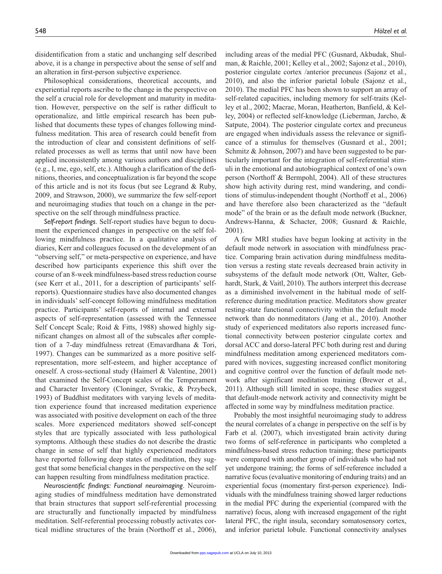disidentification from a static and unchanging self described above, it is a change in perspective about the sense of self and an alteration in first-person subjective experience.

Philosophical considerations, theoretical accounts, and experiential reports ascribe to the change in the perspective on the self a crucial role for development and maturity in meditation. However, perspective on the self is rather difficult to operationalize, and little empirical research has been published that documents these types of changes following mindfulness meditation. This area of research could benefit from the introduction of clear and consistent definitions of selfrelated processes as well as terms that until now have been applied inconsistently among various authors and disciplines (e.g., I, me, ego, self, etc.). Although a clarification of the definitions, theories, and conceptualization is far beyond the scope of this article and is not its focus (but see Legrand  $& Ruby,$ 2009, and Strawson, 2000), we summarize the few self-report and neuroimaging studies that touch on a change in the perspective on the self through mindfulness practice.

*Self-report findings*. Self-report studies have begun to document the experienced changes in perspective on the self following mindfulness practice. In a qualitative analysis of diaries, Kerr and colleagues focused on the development of an "observing self," or meta-perspective on experience, and have described how participants experience this shift over the course of an 8-week mindfulness-based stress reduction course (see Kerr et al., 2011, for a description of participants' selfreports). Questionnaire studies have also documented changes in individuals' self-concept following mindfulness meditation practice. Participants' self-reports of internal and external aspects of self-representation (assessed with the Tennessee Self Concept Scale; Roid & Fitts, 1988) showed highly significant changes on almost all of the subscales after completion of a 7-day mindfulness retreat (Emavardhana & Tori, 1997). Changes can be summarized as a more positive selfrepresentation, more self-esteem, and higher acceptance of oneself. A cross-sectional study (Haimerl & Valentine, 2001) that examined the Self-Concept scales of the Temperament and Character Inventory (Cloninger, Svrakic, & Przybeck, 1993) of Buddhist meditators with varying levels of meditation experience found that increased meditation experience was associated with positive development on each of the three scales. More experienced meditators showed self-concept styles that are typically associated with less pathological symptoms. Although these studies do not describe the drastic change in sense of self that highly experienced meditators have reported following deep states of meditation, they suggest that some beneficial changes in the perspective on the self can happen resulting from mindfulness meditation practice.

*Neuroscientific findings: Functional neuroimaging*. Neuroimaging studies of mindfulness meditation have demonstrated that brain structures that support self-referential processing are structurally and functionally impacted by mindfulness meditation. Self-referential processing robustly activates cortical midline structures of the brain (Northoff et al., 2006),

including areas of the medial PFC (Gusnard, Akbudak, Shulman, & Raichle, 2001; Kelley et al., 2002; Sajonz et al., 2010), posterior cingulate cortex /anterior precuneus (Sajonz et al., 2010), and also the inferior parietal lobule (Sajonz et al., 2010). The medial PFC has been shown to support an array of self-related capacities, including memory for self-traits (Kelley et al., 2002; Macrae, Moran, Heatherton, Banfield, & Kelley, 2004) or reflected self-knowledge (Lieberman, Jarcho, & Satpute, 2004). The posterior cingulate cortex and precuneus are engaged when individuals assess the relevance or significance of a stimulus for themselves (Gusnard et al., 2001; Schmitz & Johnson, 2007) and have been suggested to be particularly important for the integration of self-referential stimuli in the emotional and autobiographical context of one's own person (Northoff & Bermpohl, 2004). All of these structures show high activity during rest, mind wandering, and conditions of stimulus-independent thought (Northoff et al., 2006) and have therefore also been characterized as the "default mode" of the brain or as the default mode network (Buckner, Andrews-Hanna, & Schacter, 2008; Gusnard & Raichle, 2001).

A few MRI studies have begun looking at activity in the default mode network in association with mindfulness practice. Comparing brain activation during mindfulness meditation versus a resting state reveals decreased brain activity in subsystems of the default mode network (Ott, Walter, Gebhardt, Stark, & Vaitl, 2010). The authors interpret this decrease as a diminished involvement in the habitual mode of selfreference during meditation practice. Meditators show greater resting-state functional connectivity within the default mode network than do nonmeditators (Jang et al., 2010). Another study of experienced meditators also reports increased functional connectivity between posterior cingulate cortex and dorsal ACC and dorso-lateral PFC both during rest and during mindfulness meditation among experienced meditators compared with novices, suggesting increased conflict monitoring and cognitive control over the function of default mode network after significant meditation training (Brewer et al., 2011). Although still limited in scope, these studies suggest that default-mode network activity and connectivity might be affected in some way by mindfulness meditation practice.

Probably the most insightful neuroimaging study to address the neural correlates of a change in perspective on the self is by Farb et al. (2007), which investigated brain activity during two forms of self-reference in participants who completed a mindfulness-based stress reduction training; these participants were compared with another group of individuals who had not yet undergone training; the forms of self-reference included a narrative focus (evaluative monitoring of enduring traits) and an experiential focus (momentary first-person experience). Individuals with the mindfulness training showed larger reductions in the medial PFC during the experiential (compared with the narrative) focus, along with increased engagement of the right lateral PFC, the right insula, secondary somatosensory cortex, and inferior parietal lobule. Functional connectivity analyses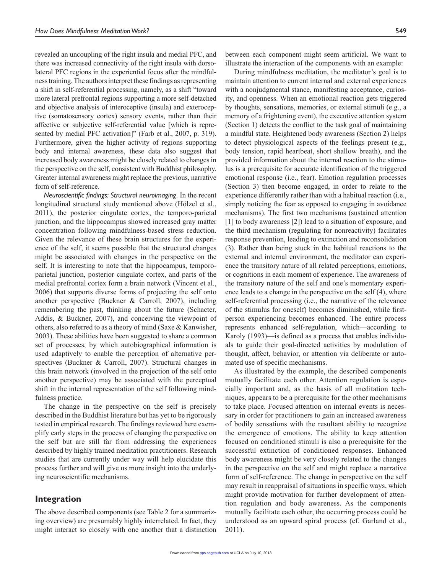revealed an uncoupling of the right insula and medial PFC, and there was increased connectivity of the right insula with dorsolateral PFC regions in the experiential focus after the mindfulness training. The authors interpret these findings as representing a shift in self-referential processing, namely, as a shift "toward more lateral prefrontal regions supporting a more self-detached and objective analysis of interoceptive (insula) and exteroceptive (somatosensory cortex) sensory events, rather than their affective or subjective self-referential value [which is represented by medial PFC activation]" (Farb et al., 2007, p. 319). Furthermore, given the higher activity of regions supporting body and internal awareness, these data also suggest that increased body awareness might be closely related to changes in the perspective on the self, consistent with Buddhist philosophy. Greater internal awareness might replace the previous, narrative form of self-reference.

*Neuroscientific findings: Structural neuroimaging*. In the recent longitudinal structural study mentioned above (Hölzel et al., 2011), the posterior cingulate cortex, the temporo-parietal junction, and the hippocampus showed increased gray matter concentration following mindfulness-based stress reduction. Given the relevance of these brain structures for the experience of the self, it seems possible that the structural changes might be associated with changes in the perspective on the self. It is interesting to note that the hippocampus, temporoparietal junction, posterior cingulate cortex, and parts of the medial prefrontal cortex form a brain network (Vincent et al., 2006) that supports diverse forms of projecting the self onto another perspective (Buckner & Carroll, 2007), including remembering the past, thinking about the future (Schacter, Addis, & Buckner, 2007), and conceiving the viewpoint of others, also referred to as a theory of mind (Saxe & Kanwisher, 2003). These abilities have been suggested to share a common set of processes, by which autobiographical information is used adaptively to enable the perception of alternative perspectives (Buckner & Carroll, 2007). Structural changes in this brain network (involved in the projection of the self onto another perspective) may be associated with the perceptual shift in the internal representation of the self following mindfulness practice.

The change in the perspective on the self is precisely described in the Buddhist literature but has yet to be rigorously tested in empirical research. The findings reviewed here exemplify early steps in the process of changing the perspective on the self but are still far from addressing the experiences described by highly trained meditation practitioners. Research studies that are currently under way will help elucidate this process further and will give us more insight into the underlying neuroscientific mechanisms.

### **Integration**

The above described components (see Table 2 for a summarizing overview) are presumably highly interrelated. In fact, they might interact so closely with one another that a distinction between each component might seem artificial. We want to illustrate the interaction of the components with an example:

During mindfulness meditation, the meditator's goal is to maintain attention to current internal and external experiences with a nonjudgmental stance, manifesting acceptance, curiosity, and openness. When an emotional reaction gets triggered by thoughts, sensations, memories, or external stimuli (e.g., a memory of a frightening event), the executive attention system (Section 1) detects the conflict to the task goal of maintaining a mindful state. Heightened body awareness (Section 2) helps to detect physiological aspects of the feelings present (e.g., body tension, rapid heartbeat, short shallow breath), and the provided information about the internal reaction to the stimulus is a prerequisite for accurate identification of the triggered emotional response (i.e., fear). Emotion regulation processes (Section 3) then become engaged, in order to relate to the experience differently rather than with a habitual reaction (i.e., simply noticing the fear as opposed to engaging in avoidance mechanisms). The first two mechanisms (sustained attention [1] to body awareness [2]) lead to a situation of exposure, and the third mechanism (regulating for nonreactivity) facilitates response prevention, leading to extinction and reconsolidation (3). Rather than being stuck in the habitual reactions to the external and internal environment, the meditator can experience the transitory nature of all related perceptions, emotions, or cognitions in each moment of experience. The awareness of the transitory nature of the self and one's momentary experience leads to a change in the perspective on the self (4), where self-referential processing (i.e., the narrative of the relevance of the stimulus for oneself) becomes diminished, while firstperson experiencing becomes enhanced. The entire process represents enhanced self-regulation, which—according to Karoly (1993)—is defined as a process that enables individuals to guide their goal-directed activities by modulation of thought, affect, behavior, or attention via deliberate or automated use of specific mechanisms.

As illustrated by the example, the described components mutually facilitate each other. Attention regulation is especially important and, as the basis of all meditation techniques, appears to be a prerequisite for the other mechanisms to take place. Focused attention on internal events is necessary in order for practitioners to gain an increased awareness of bodily sensations with the resultant ability to recognize the emergence of emotions. The ability to keep attention focused on conditioned stimuli is also a prerequisite for the successful extinction of conditioned responses. Enhanced body awareness might be very closely related to the changes in the perspective on the self and might replace a narrative form of self-reference. The change in perspective on the self may result in reappraisal of situations in specific ways, which might provide motivation for further development of attention regulation and body awareness. As the components mutually facilitate each other, the occurring process could be understood as an upward spiral process (cf. Garland et al., 2011).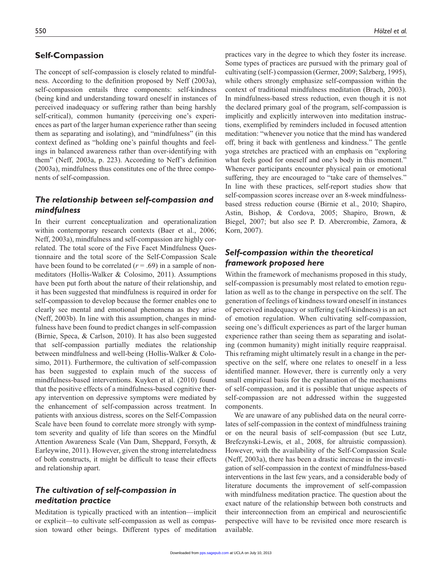# **Self-Compassion**

The concept of self-compassion is closely related to mindfulness. According to the definition proposed by Neff (2003a), self-compassion entails three components: self-kindness (being kind and understanding toward oneself in instances of perceived inadequacy or suffering rather than being harshly self-critical), common humanity (perceiving one's experiences as part of the larger human experience rather than seeing them as separating and isolating), and "mindfulness" (in this context defined as "holding one's painful thoughts and feelings in balanced awareness rather than over-identifying with them" (Neff, 2003a, p. 223). According to Neff's definition (2003a), mindfulness thus constitutes one of the three components of self-compassion.

# *The relationship between self-compassion and mindfulness*

In their current conceptualization and operationalization within contemporary research contexts (Baer et al., 2006; Neff, 2003a), mindfulness and self-compassion are highly correlated. The total score of the Five Facet Mindfulness Questionnaire and the total score of the Self-Compassion Scale have been found to be correlated  $(r = .69)$  in a sample of nonmeditators (Hollis-Walker & Colosimo, 2011). Assumptions have been put forth about the nature of their relationship, and it has been suggested that mindfulness is required in order for self-compassion to develop because the former enables one to clearly see mental and emotional phenomena as they arise (Neff, 2003b). In line with this assumption, changes in mindfulness have been found to predict changes in self-compassion (Birnie, Speca, & Carlson, 2010). It has also been suggested that self-compassion partially mediates the relationship between mindfulness and well-being (Hollis-Walker & Colosimo, 2011). Furthermore, the cultivation of self-compassion has been suggested to explain much of the success of mindfulness-based interventions. Kuyken et al. (2010) found that the positive effects of a mindfulness-based cognitive therapy intervention on depressive symptoms were mediated by the enhancement of self-compassion across treatment. In patients with anxious distress, scores on the Self-Compassion Scale have been found to correlate more strongly with symptom severity and quality of life than scores on the Mindful Attention Awareness Scale (Van Dam, Sheppard, Forsyth, & Earleywine, 2011). However, given the strong interrelatedness of both constructs, it might be difficult to tease their effects and relationship apart.

# *The cultivation of self-compassion in meditation practice*

Meditation is typically practiced with an intention—implicit or explicit—to cultivate self-compassion as well as compassion toward other beings. Different types of meditation

practices vary in the degree to which they foster its increase. Some types of practices are pursued with the primary goal of cultivating (self-) compassion (Germer, 2009; Salzberg, 1995), while others strongly emphasize self-compassion within the context of traditional mindfulness meditation (Brach, 2003). In mindfulness-based stress reduction, even though it is not the declared primary goal of the program, self-compassion is implicitly and explicitly interwoven into meditation instructions, exemplified by reminders included in focused attention meditation: "whenever you notice that the mind has wandered off, bring it back with gentleness and kindness." The gentle yoga stretches are practiced with an emphasis on "exploring what feels good for oneself and one's body in this moment." Whenever participants encounter physical pain or emotional suffering, they are encouraged to "take care of themselves." In line with these practices, self-report studies show that self-compassion scores increase over an 8-week mindfulnessbased stress reduction course (Birnie et al., 2010; Shapiro, Astin, Bishop, & Cordova, 2005; Shapiro, Brown, & Biegel, 2007; but also see P. D. Abercrombie, Zamora, & Korn, 2007).

# *Self-compassion within the theoretical framework proposed here*

Within the framework of mechanisms proposed in this study, self-compassion is presumably most related to emotion regulation as well as to the change in perspective on the self. The generation of feelings of kindness toward oneself in instances of perceived inadequacy or suffering (self-kindness) is an act of emotion regulation. When cultivating self-compassion, seeing one's difficult experiences as part of the larger human experience rather than seeing them as separating and isolating (common humanity) might initially require reappraisal. This reframing might ultimately result in a change in the perspective on the self, where one relates to oneself in a less identified manner. However, there is currently only a very small empirical basis for the explanation of the mechanisms of self-compassion, and it is possible that unique aspects of self-compassion are not addressed within the suggested components.

We are unaware of any published data on the neural correlates of self-compassion in the context of mindfulness training or on the neural basis of self-compassion (but see Lutz, Brefczynski-Lewis, et al., 2008, for altruistic compassion). However, with the availability of the Self-Compassion Scale (Neff, 2003a), there has been a drastic increase in the investigation of self-compassion in the context of mindfulness-based interventions in the last few years, and a considerable body of literature documents the improvement of self-compassion with mindfulness meditation practice. The question about the exact nature of the relationship between both constructs and their interconnection from an empirical and neuroscientific perspective will have to be revisited once more research is available.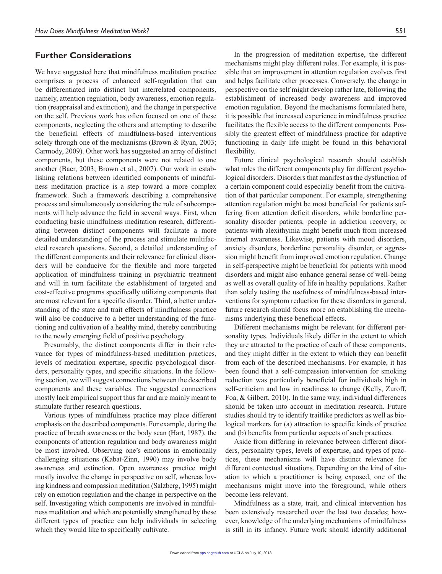## **Further Considerations**

We have suggested here that mindfulness meditation practice comprises a process of enhanced self-regulation that can be differentiated into distinct but interrelated components, namely, attention regulation, body awareness, emotion regulation (reappraisal and extinction), and the change in perspective on the self. Previous work has often focused on one of these components, neglecting the others and attempting to describe the beneficial effects of mindfulness-based interventions solely through one of the mechanisms (Brown & Ryan, 2003; Carmody, 2009). Other work has suggested an array of distinct components, but these components were not related to one another (Baer, 2003; Brown et al., 2007). Our work in establishing relations between identified components of mindfulness meditation practice is a step toward a more complex framework. Such a framework describing a comprehensive process and simultaneously considering the role of subcomponents will help advance the field in several ways. First, when conducting basic mindfulness meditation research, differentiating between distinct components will facilitate a more detailed understanding of the process and stimulate multifaceted research questions. Second, a detailed understanding of the different components and their relevance for clinical disorders will be conducive for the flexible and more targeted application of mindfulness training in psychiatric treatment and will in turn facilitate the establishment of targeted and cost-effective programs specifically utilizing components that are most relevant for a specific disorder. Third, a better understanding of the state and trait effects of mindfulness practice will also be conducive to a better understanding of the functioning and cultivation of a healthy mind, thereby contributing to the newly emerging field of positive psychology.

Presumably, the distinct components differ in their relevance for types of mindfulness-based meditation practices, levels of meditation expertise, specific psychological disorders, personality types, and specific situations. In the following section, we will suggest connections between the described components and these variables. The suggested connections mostly lack empirical support thus far and are mainly meant to stimulate further research questions.

Various types of mindfulness practice may place different emphasis on the described components. For example, during the practice of breath awareness or the body scan (Hart, 1987), the components of attention regulation and body awareness might be most involved. Observing one's emotions in emotionally challenging situations (Kabat-Zinn, 1990) may involve body awareness and extinction. Open awareness practice might mostly involve the change in perspective on self, whereas loving kindness and compassion meditation (Salzberg, 1995) might rely on emotion regulation and the change in perspective on the self. Investigating which components are involved in mindfulness meditation and which are potentially strengthened by these different types of practice can help individuals in selecting which they would like to specifically cultivate.

In the progression of meditation expertise, the different mechanisms might play different roles. For example, it is possible that an improvement in attention regulation evolves first and helps facilitate other processes. Conversely, the change in perspective on the self might develop rather late, following the establishment of increased body awareness and improved emotion regulation. Beyond the mechanisms formulated here, it is possible that increased experience in mindfulness practice facilitates the flexible access to the different components. Possibly the greatest effect of mindfulness practice for adaptive functioning in daily life might be found in this behavioral flexibility.

Future clinical psychological research should establish what roles the different components play for different psychological disorders. Disorders that manifest as the dysfunction of a certain component could especially benefit from the cultivation of that particular component. For example, strengthening attention regulation might be most beneficial for patients suffering from attention deficit disorders, while borderline personality disorder patients, people in addiction recovery, or patients with alexithymia might benefit much from increased internal awareness. Likewise, patients with mood disorders, anxiety disorders, borderline personality disorder, or aggression might benefit from improved emotion regulation. Change in self-perspective might be beneficial for patients with mood disorders and might also enhance general sense of well-being as well as overall quality of life in healthy populations. Rather than solely testing the usefulness of mindfulness-based interventions for symptom reduction for these disorders in general, future research should focus more on establishing the mechanisms underlying these beneficial effects.

Different mechanisms might be relevant for different personality types. Individuals likely differ in the extent to which they are attracted to the practice of each of these components, and they might differ in the extent to which they can benefit from each of the described mechanisms. For example, it has been found that a self-compassion intervention for smoking reduction was particularly beneficial for individuals high in self-criticism and low in readiness to change (Kelly, Zuroff, Foa, & Gilbert, 2010). In the same way, individual differences should be taken into account in meditation research. Future studies should try to identify traitlike predictors as well as biological markers for (a) attraction to specific kinds of practice and (b) benefits from particular aspects of such practices.

Aside from differing in relevance between different disorders, personality types, levels of expertise, and types of practices, these mechanisms will have distinct relevance for different contextual situations. Depending on the kind of situation to which a practitioner is being exposed, one of the mechanisms might move into the foreground, while others become less relevant.

Mindfulness as a state, trait, and clinical intervention has been extensively researched over the last two decades; however, knowledge of the underlying mechanisms of mindfulness is still in its infancy. Future work should identify additional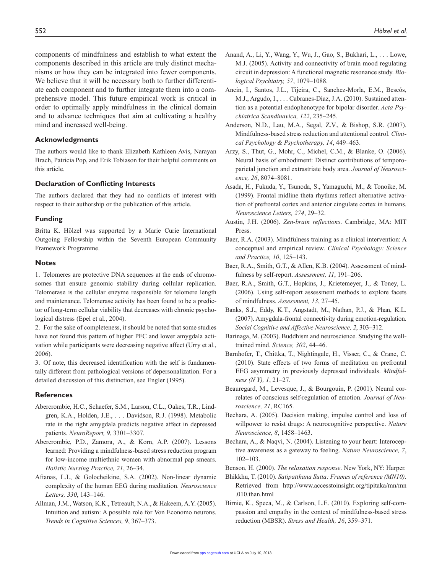components of mindfulness and establish to what extent the components described in this article are truly distinct mechanisms or how they can be integrated into fewer components. We believe that it will be necessary both to further differentiate each component and to further integrate them into a comprehensive model. This future empirical work is critical in order to optimally apply mindfulness in the clinical domain and to advance techniques that aim at cultivating a healthy mind and increased well-being.

#### **Acknowledgments**

The authors would like to thank Elizabeth Kathleen Avis, Narayan Brach, Patricia Pop, and Erik Tobiason for their helpful comments on this article.

#### **Declaration of Conflicting Interests**

The authors declared that they had no conflicts of interest with respect to their authorship or the publication of this article.

#### **Funding**

Britta K. Hölzel was supported by a Marie Curie International Outgoing Fellowship within the Seventh European Community Framework Programme.

#### **Notes**

1. Telomeres are protective DNA sequences at the ends of chromosomes that ensure genomic stability during cellular replication. Telomerase is the cellular enzyme responsible for telomere length and maintenance. Telomerase activity has been found to be a predictor of long-term cellular viability that decreases with chronic psychological distress (Epel et al., 2004).

2. For the sake of completeness, it should be noted that some studies have not found this pattern of higher PFC and lower amygdala activation while participants were decreasing negative affect (Urry et al., 2006).

3. Of note, this decreased identification with the self is fundamentally different from pathological versions of depersonalization. For a detailed discussion of this distinction, see Engler (1995).

#### **References**

- Abercrombie, H.C., Schaefer, S.M., Larson, C.L., Oakes, T.R., Lindgren, K.A., Holden, J.E., . . . Davidson, R.J. (1998). Metabolic rate in the right amygdala predicts negative affect in depressed patients. *NeuroReport, 9*, 3301–3307.
- Abercrombie, P.D., Zamora, A., & Korn, A.P. (2007). Lessons learned: Providing a mindfulness-based stress reduction program for low-income multiethnic women with abnormal pap smears. *Holistic Nursing Practice, 21*, 26–34.
- Aftanas, L.I., & Golocheikine, S.A. (2002). Non-linear dynamic complexity of the human EEG during meditation. *Neuroscience Letters, 330*, 143–146.
- Allman, J.M., Watson, K.K., Tetreault, N.A., & Hakeem, A.Y. (2005). Intuition and autism: A possible role for Von Economo neurons. *Trends in Cognitive Sciences, 9*, 367–373.
- Anand, A., Li, Y., Wang, Y., Wu, J., Gao, S., Bukhari, L., . . . Lowe, M.J. (2005). Activity and connectivity of brain mood regulating circuit in depression: A functional magnetic resonance study. *Biological Psychiatry, 57*, 1079–1088.
- Ancin, I., Santos, J.L., Tijeira, C., Sanchez-Morla, E.M., Bescós, M.J., Argudo, I., . . . Cabranes-Díaz, J.A. (2010). Sustained attention as a potential endophenotype for bipolar disorder. *Acta Psychiatrica Scandinavica, 122*, 235–245.
- Anderson, N.D., Lau, M.A., Segal, Z.V., & Bishop, S.R. (2007). Mindfulness-based stress reduction and attentional control. *Clinical Psychology & Psychotherapy, 14*, 449–463.
- Arzy, S., Thut, G., Mohr, C., Michel, C.M., & Blanke, O. (2006). Neural basis of embodiment: Distinct contributions of temporoparietal junction and extrastriate body area. *Journal of Neuroscience, 26*, 8074–8081.
- Asada, H., Fukuda, Y., Tsunoda, S., Yamaguchi, M., & Tonoike, M. (1999). Frontal midline theta rhythms reflect alternative activation of prefrontal cortex and anterior cingulate cortex in humans. *Neuroscience Letters, 274*, 29–32.
- Austin, J.H. (2006). *Zen-brain reflections*. Cambridge, MA: MIT Press.
- Baer, R.A. (2003). Mindfulness training as a clinical intervention: A conceptual and empirical review. *Clinical Psychology: Science and Practice, 10*, 125–143.
- Baer, R.A., Smith, G.T., & Allen, K.B. (2004). Assessment of mindfulness by self-report. *Assessment, 11*, 191–206.
- Baer, R.A., Smith, G.T., Hopkins, J., Krietemeyer, J., & Toney, L. (2006). Using self-report assessment methods to explore facets of mindfulness. *Assessment, 13*, 27–45.
- Banks, S.J., Eddy, K.T., Angstadt, M., Nathan, P.J., & Phan, K.L. (2007). Amygdala-frontal connectivity during emotion-regulation. *Social Cognitive and Affective Neuroscience, 2*, 303–312.
- Barinaga, M. (2003). Buddhism and neuroscience. Studying the welltrained mind. *Science, 302*, 44–46.
- Barnhofer, T., Chittka, T., Nightingale, H., Visser, C., & Crane, C. (2010). State effects of two forms of meditation on prefrontal EEG asymmetry in previously depressed individuals. *Mindfulness (N Y), 1*, 21–27.
- Beauregard, M., Levesque, J., & Bourgouin, P. (2001). Neural correlates of conscious self-regulation of emotion. *Journal of Neuroscience, 21*, RC165.
- Bechara, A. (2005). Decision making, impulse control and loss of willpower to resist drugs: A neurocognitive perspective. *Nature Neuroscience, 8*, 1458–1463.
- Bechara, A., & Naqvi, N. (2004). Listening to your heart: Interoceptive awareness as a gateway to feeling. *Nature Neuroscience, 7*, 102–103.

Benson, H. (2000). *The relaxation response*. New York, NY: Harper.

- Bhikkhu, T. (2010). *Satipatthana Sutta: Frames of reference (MN10)*. Retrieved from http://www.accesstoinsight.org/tipitaka/mn/mn .010.than.html
- Birnie, K., Speca, M., & Carlson, L.E. (2010). Exploring self-compassion and empathy in the context of mindfulness-based stress reduction (MBSR). *Stress and Health, 26*, 359–371.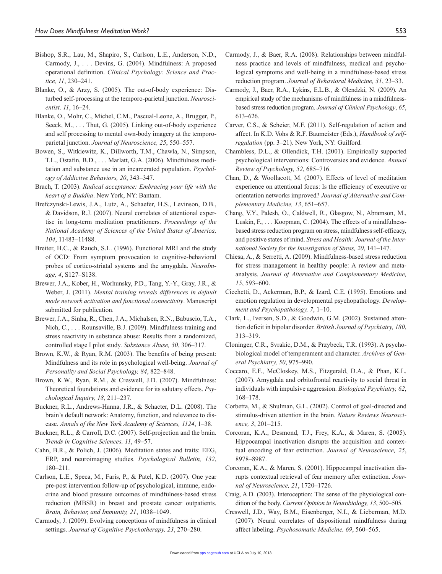- Bishop, S.R., Lau, M., Shapiro, S., Carlson, L.E., Anderson, N.D., Carmody, J., . . . Devins, G. (2004). Mindfulness: A proposed operational definition. *Clinical Psychology: Science and Practice, 11*, 230–241.
- Blanke, O., & Arzy, S. (2005). The out-of-body experience: Disturbed self-processing at the temporo-parietal junction. *Neuroscientist, 11*, 16–24.
- Blanke, O., Mohr, C., Michel, C.M., Pascual-Leone, A., Brugger, P., Seeck, M., . . . Thut, G. (2005). Linking out-of-body experience and self processing to mental own-body imagery at the temporoparietal junction. *Journal of Neuroscience, 25*, 550–557.
- Bowen, S., Witkiewitz, K., Dillworth, T.M., Chawla, N., Simpson, T.L., Ostafin, B.D., . . . Marlatt, G.A. (2006). Mindfulness meditation and substance use in an incarcerated population. *Psychology of Addictive Behaviors, 20*, 343–347.
- Brach, T. (2003). *Radical acceptance: Embracing your life with the heart of a Buddha*. New York, NY: Bantam.
- Brefczynski-Lewis, J.A., Lutz, A., Schaefer, H.S., Levinson, D.B., & Davidson, R.J. (2007). Neural correlates of attentional expertise in long-term meditation practitioners. *Proceedings of the National Academy of Sciences of the United States of America, 104*, 11483–11488.
- Breiter, H.C., & Rauch, S.L. (1996). Functional MRI and the study of OCD: From symptom provocation to cognitive-behavioral probes of cortico-striatal systems and the amygdala. *NeuroImage, 4*, S127–S138.
- Brewer, J.A., Kober, H., Worhunsky, P.D., Tang, Y.-Y., Gray, J.R., & Weber, J. (2011). *Mental training reveals differences in default mode network activation and functional connectivity*. Manuscript submitted for publication.
- Brewer, J.A., Sinha, R., Chen, J.A., Michalsen, R.N., Babuscio, T.A., Nich, C., . . . Rounsaville, B.J. (2009). Mindfulness training and stress reactivity in substance abuse: Results from a randomized, controlled stage I pilot study. *Substance Abuse, 30*, 306–317.
- Brown, K.W., & Ryan, R.M. (2003). The benefits of being present: Mindfulness and its role in psychological well-being. *Journal of Personality and Social Psychology, 84*, 822–848.
- Brown, K.W., Ryan, R.M., & Creswell, J.D. (2007). Mindfulness: Theoretical foundations and evidence for its salutary effects. *Psychological Inquiry, 18*, 211–237.
- Buckner, R.L., Andrews-Hanna, J.R., & Schacter, D.L. (2008). The brain's default network: Anatomy, function, and relevance to disease. *Annals of the New York Academy of Sciences, 1124*, 1–38.
- Buckner, R.L., & Carroll, D.C. (2007). Self-projection and the brain. *Trends in Cognitive Sciences, 11*, 49–57.
- Cahn, B.R., & Polich, J. (2006). Meditation states and traits: EEG, ERP, and neuroimaging studies. *Psychological Bulletin, 132*, 180–211.
- Carlson, L.E., Speca, M., Faris, P., & Patel, K.D. (2007). One year pre-post intervention follow-up of psychological, immune, endocrine and blood pressure outcomes of mindfulness-based stress reduction (MBSR) in breast and prostate cancer outpatients. *Brain, Behavior, and Immunity, 21*, 1038–1049.
- Carmody, J. (2009). Evolving conceptions of mindfulness in clinical settings. *Journal of Cognitive Psychotherapy, 23*, 270–280.
- Carmody, J., & Baer, R.A. (2008). Relationships between mindfulness practice and levels of mindfulness, medical and psychological symptoms and well-being in a mindfulness-based stress reduction program. *Journal of Behavioral Medicine, 31*, 23–33.
- Carmody, J., Baer, R.A., Lykins, E.L.B., & Olendzki, N. (2009). An empirical study of the mechanisms of mindfulness in a mindfulnessbased stress reduction program. *Journal of Clinical Psychology*, *65*, 613–626.
- Carver, C.S., & Scheier, M.F. (2011). Self-regulation of action and affect. In K.D. Vohs & R.F. Baumeister (Eds.), *Handbook of selfregulation* (pp. 3–21). New York, NY: Guilford.
- Chambless, D.L., & Ollendick, T.H. (2001). Empirically supported psychological interventions: Controversies and evidence. *Annual Review of Psychology, 52*, 685–716.
- Chan, D., & Woollacott, M. (2007). Effects of level of meditation experience on attentional focus: Is the efficiency of executive or orientation networks improved? *Journal of Alternative and Complementary Medicine, 13*, 651–657.
- Chang, V.Y., Palesh, O., Caldwell, R., Glasgow, N., Abramson, M., Luskin, F., . . . Koopman, C. (2004). The effects of a mindfulnessbased stress reduction program on stress, mindfulness self-efficacy, and positive states of mind. *Stress and Health: Journal of the International Society for the Investigation of Stress, 20*, 141–147.
- Chiesa, A., & Serretti, A. (2009). Mindfulness-based stress reduction for stress management in healthy people: A review and metaanalysis. *Journal of Alternative and Complementary Medicine, 15*, 593–600.
- Cicchetti, D., Ackerman, B.P., & Izard, C.E. (1995). Emotions and emotion regulation in developmental psychopathology. *Development and Psychopathology, 7*, 1–10.
- Clark, L., Iversen, S.D., & Goodwin, G.M. (2002). Sustained attention deficit in bipolar disorder. *British Journal of Psychiatry, 180*, 313–319.
- Cloninger, C.R., Svrakic, D.M., & Przybeck, T.R. (1993). A psychobiological model of temperament and character. *Archives of General Psychiatry, 50*, 975–990.
- Coccaro, E.F., McCloskey, M.S., Fitzgerald, D.A., & Phan, K.L. (2007). Amygdala and orbitofrontal reactivity to social threat in individuals with impulsive aggression. *Biological Psychiatry, 62*, 168–178.
- Corbetta, M., & Shulman, G.L. (2002). Control of goal-directed and stimulus-driven attention in the brain. *Nature Reviews Neuroscience, 3*, 201–215.
- Corcoran, K.A., Desmond, T.J., Frey, K.A., & Maren, S. (2005). Hippocampal inactivation disrupts the acquisition and contextual encoding of fear extinction. *Journal of Neuroscience, 25*, 8978–8987.
- Corcoran, K.A., & Maren, S. (2001). Hippocampal inactivation disrupts contextual retrieval of fear memory after extinction. *Journal of Neuroscience, 21*, 1720–1726.
- Craig, A.D. (2003). Interoception: The sense of the physiological condition of the body. *Current Opinion in Neurobiology, 13*, 500–505.
- Creswell, J.D., Way, B.M., Eisenberger, N.I., & Lieberman, M.D. (2007). Neural correlates of dispositional mindfulness during affect labeling. *Psychosomatic Medicine, 69*, 560–565.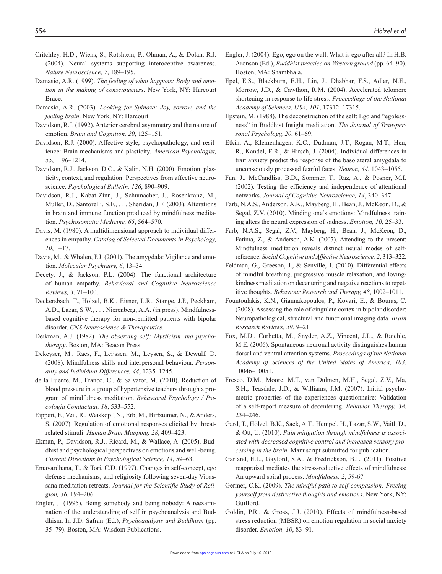- Critchley, H.D., Wiens, S., Rotshtein, P., Ohman, A., & Dolan, R.J. (2004). Neural systems supporting interoceptive awareness. *Nature Neuroscience, 7*, 189–195.
- Damasio, A.R. (1999). *The feeling of what happens: Body and emotion in the making of consciousness*. New York, NY: Harcourt Brace.
- Damasio, A.R. (2003). *Looking for Spinoza: Joy, sorrow, and the feeling brain*. New York, NY: Harcourt.
- Davidson, R.J. (1992). Anterior cerebral asymmetry and the nature of emotion. *Brain and Cognition, 20*, 125–151.
- Davidson, R.J. (2000). Affective style, psychopathology, and resilience: Brain mechanisms and plasticity. *American Psychologist, 55*, 1196–1214.
- Davidson, R.J., Jackson, D.C., & Kalin, N.H. (2000). Emotion, plasticity, context, and regulation: Perspectives from affective neuroscience. *Psychological Bulletin, 126*, 890–909.
- Davidson, R.J., Kabat-Zinn, J., Schumacher, J., Rosenkranz, M., Muller, D., Santorelli, S.F., . . . Sheridan, J.F. (2003). Alterations in brain and immune function produced by mindfulness meditation. *Psychosomatic Medicine, 65*, 564–570.
- Davis, M. (1980). A multidimensional approach to individual differences in empathy. *Catalog of Selected Documents in Psychology, 10*, 1–17.
- Davis, M., & Whalen, P.J. (2001). The amygdala: Vigilance and emotion. *Molecular Psychiatry, 6*, 13–34.
- Decety, J., & Jackson, P.L. (2004). The functional architecture of human empathy. *Behavioral and Cognitive Neuroscience Reviews, 3*, 71–100.
- Deckersbach, T., Hölzel, B.K., Eisner, L.R., Stange, J.P., Peckham, A.D., Lazar, S.W., . . . Nierenberg, A.A. (in press). Mindfulnessbased cognitive therapy for non-remitted patients with bipolar disorder. *CNS Neuroscience & Therapeutics*.
- Deikman, A.J. (1982). *The observing self: Mysticism and psychotherapy*. Boston, MA: Beacon Press.
- Dekeyser, M., Raes, F., Leijssen, M., Leysen, S., & Dewulf, D. (2008). Mindfulness skills and interpersonal behaviour. *Personality and Individual Differences, 44*, 1235–1245.
- de la Fuente, M., Franco, C., & Salvator, M. (2010). Reduction of blood pressure in a group of hypertensive teachers through a program of mindfulness meditation. *Behavioral Psychology / Psicología Conductual, 18*, 533–552.
- Eippert, F., Veit, R., Weiskopf, N., Erb, M., Birbaumer, N., & Anders, S. (2007). Regulation of emotional responses elicited by threatrelated stimuli. *Human Brain Mapping, 28*, 409–423.
- Ekman, P., Davidson, R.J., Ricard, M., & Wallace, A. (2005). Buddhist and psychological perspectives on emotions and well-being. *Current Directions in Psychological Science, 14*, 59–63.
- Emavardhana, T., & Tori, C.D. (1997). Changes in self-concept, ego defense mechanisms, and religiosity following seven-day Vipassana meditation retreats. *Journal for the Scientific Study of Religion, 36*, 194–206.
- Engler, J. (1995). Being somebody and being nobody: A reexamination of the understanding of self in psychoanalysis and Buddhism. In J.D. Safran (Ed.), *Psychoanalysis and Buddhism* (pp. 35–79). Boston, MA: Wisdom Publications.
- Engler, J. (2004). Ego, ego on the wall: What is ego after all? In H.B. Aronson (Ed.), *Buddhist practice on Western ground* (pp. 64–90). Boston, MA: Shambhala.
- Epel, E.S., Blackburn, E.H., Lin, J., Dhabhar, F.S., Adler, N.E., Morrow, J.D., & Cawthon, R.M. (2004). Accelerated telomere shortening in response to life stress. *Proceedings of the National Academy of Sciences, USA, 101*, 17312–17315.
- Epstein, M. (1988). The deconstruction of the self: Ego and "egolessness" in Buddhist Insight meditation. *The Journal of Transpersonal Psychology, 20*, 61–69.
- Etkin, A., Klemenhagen, K.C., Dudman, J.T., Rogan, M.T., Hen, R., Kandel, E.R., & Hirsch, J. (2004). Individual differences in trait anxiety predict the response of the basolateral amygdala to unconsciously processed fearful faces. *Neuron, 44*, 1043–1055.
- Fan, J., McCandliss, B.D., Sommer, T., Raz, A., & Posner, M.I. (2002). Testing the efficiency and independence of attentional networks. *Journal of Cognitive Neuroscience, 14*, 340–347.
- Farb, N.A.S., Anderson, A.K., Mayberg, H., Bean, J., McKeon, D., & Segal, Z.V. (2010). Minding one's emotions: Mindfulness training alters the neural expression of sadness. *Emotion, 10*, 25–33.
- Farb, N.A.S., Segal, Z.V., Mayberg, H., Bean, J., McKeon, D., Fatima, Z., & Anderson, A.K. (2007). Attending to the present: Mindfulness meditation reveals distinct neural modes of selfreference. *Social Cognitive and Affective Neuroscience, 2*, 313–322.
- Feldman, G., Greeson, J., & Senville, J. (2010). Differential effects of mindful breathing, progressive muscle relaxation, and lovingkindness meditation on decentering and negative reactions to repetitive thoughts. *Behaviour Research and Therapy, 48*, 1002–1011.
- Fountoulakis, K.N., Giannakopoulos, P., Kovari, E., & Bouras, C. (2008). Assessing the role of cingulate cortex in bipolar disorder: Neuropathological, structural and functional imaging data. *Brain Research Reviews, 59*, 9–21.
- Fox, M.D., Corbetta, M., Snyder, A.Z., Vincent, J.L., & Raichle, M.E. (2006). Spontaneous neuronal activity distinguishes human dorsal and ventral attention systems. *Proceedings of the National Academy of Sciences of the United States of America, 103*, 10046–10051.
- Fresco, D.M., Moore, M.T., van Dulmen, M.H., Segal, Z.V., Ma, S.H., Teasdale, J.D., & Williams, J.M. (2007). Initial psychometric properties of the experiences questionnaire: Validation of a self-report measure of decentering. *Behavior Therapy, 38*, 234–246.
- Gard, T., Hölzel, B.K., Sack, A.T., Hempel, H., Lazar, S.W., Vaitl, D., & Ott, U. (2010). *Pain mitigation through mindfulness is associated with decreased cognitive control and increased sensory processing in the brain*. Manuscript submitted for publication.
- Garland, E.L., Gaylord, S.A., & Fredrickson, B.L. (2011). Positive reappraisal mediates the stress-reductive effects of mindfulness: An upward spiral process. *Mindfulness, 2*, 59-67
- Germer, C.K. (2009). *The mindful path to self-compassion: Freeing yourself from destructive thoughts and emotions*. New York, NY: Guilford.
- Goldin, P.R., & Gross, J.J. (2010). Effects of mindfulness-based stress reduction (MBSR) on emotion regulation in social anxiety disorder. *Emotion, 10*, 83–91.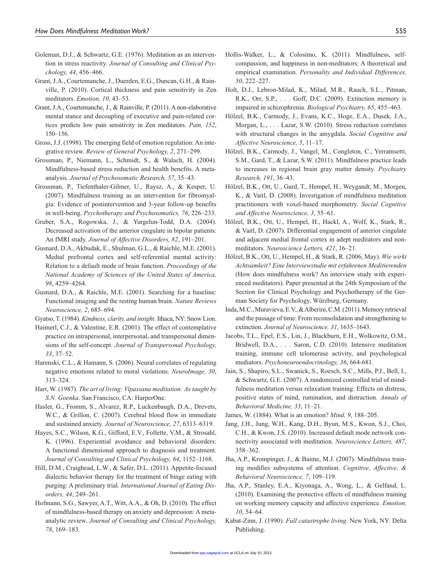- Goleman, D.J., & Schwartz, G.E. (1976). Meditation as an intervention in stress reactivity. *Journal of Consulting and Clinical Psychology, 44*, 456–466.
- Grant, J.A., Courtemanche, J., Duerden, E.G., Duncan, G.H., & Rainville, P. (2010). Cortical thickness and pain sensitivity in Zen meditators. *Emotion, 10*, 43–53.
- Grant, J.A., Courtemanche, J., & Rainville, P. (2011). A non-elaborative mental stance and decoupling of executive and pain-related cortices predicts low pain sensitivity in Zen meditators. *Pain, 152*, 150–156.
- Gross, J.J. (1998). The emerging field of emotion regulation: An integrative review. *Review of General Psychology, 2*, 271–299.
- Grossman, P., Niemann, L., Schmidt, S., & Walach, H. (2004). Mindfulness-based stress reduction and health benefits. A metaanalysis. *Journal of Psychosomatic Research, 57*, 35–43.
- Grossman, P., Tiefenthaler-Gilmer, U., Raysz, A., & Kesper, U. (2007). Mindfulness training as an intervention for fibromyalgia: Evidence of postintervention and 3-year follow-up benefits in well-being. *Psychotherapy and Psychosomatics, 76*, 226–233.
- Gruber, S.A., Rogowska, J., & Yurgelun-Todd, D.A. (2004). Decreased activation of the anterior cingulate in bipolar patients: An fMRI study. *Journal of Affective Disorders, 82*, 191–201.
- Gusnard, D.A., Akbudak, E., Shulman, G.L., & Raichle, M.E. (2001). Medial prefrontal cortex and self-referential mental activity: Relation to a default mode of brain function. *Proceedings of the National Academy of Sciences of the United States of America, 98*, 4259–4264.
- Gusnard, D.A., & Raichle, M.E. (2001). Searching for a baseline: Functional imaging and the resting human brain. *Nature Reviews Neuroscience, 2*, 685–694.
- Gyatso, T. (1984). *Kindness, clarity, and insight*. Ithaca, NY: Snow Lion.
- Haimerl, C.J., & Valentine, E.R. (2001). The effect of contemplative practice on intrapersonal, interpersonal, and transpersonal dimensions of the self-concept. *Journal of Transpersonal Psychology, 33*, 37–52.
- Harenski, C.L., & Hamann, S. (2006). Neural correlates of regulating negative emotions related to moral violations. *NeuroImage, 30*, 313–324.
- Hart, W. (1987). *The art of living: Vipassana meditation: As taught by S.N. Goenka*. San Francisco, CA: HarperOne.
- Hasler, G., Fromm, S., Alvarez, R.P., Luckenbaugh, D.A., Drevets, W.C., & Grillon, C. (2007). Cerebral blood flow in immediate and sustained anxiety. *Journal of Neuroscience, 27*, 6313–6319.
- Hayes, S.C., Wilson, K.G., Gifford, E.V., Follette, V.M., & Strosahl, K. (1996). Experiential avoidance and behavioral disorders: A functional dimensional approach to diagnosis and treatment. *Journal of Consulting and Clinical Psychology, 64*, 1152–1168.
- Hill, D.M., Craighead, L.W., & Safer, D.L. (2011). Appetite-focused dialectic behavior therapy for the treatment of binge eating with purging: A preliminary trial. *International Journal of Eating Disorders, 44*, 249–261.
- Hofmann, S.G., Sawyer, A.T., Witt, A.A., & Oh, D. (2010). The effect of mindfulness-based therapy on anxiety and depression: A metaanalytic review. *Journal of Consulting and Clinical Psychology, 78*, 169–183.
- Hollis-Walker, L., & Colosimo, K. (2011). Mindfulness, selfcompassion, and happiness in non-meditators: A theoretical and empirical examination. *Personality and Individual Differences, 50*, 222–227.
- Holt, D.J., Lebron-Milad, K., Milad, M.R., Rauch, S.L., Pitman, R.K., Orr, S.P., . . . Goff, D.C. (2009). Extinction memory is impaired in schizophrenia. *Biological Psychiatry, 65*, 455–463.
- Hölzel, B.K., Carmody, J., Evans, K.C., Hoge, E.A., Dusek, J.A., Morgan, L., . . . Lazar, S.W. (2010). Stress reduction correlates with structural changes in the amygdala. *Social Cognitive and Affective Neuroscience, 5*, 11–17.
- Hölzel, B.K., Carmody, J., Vangel, M., Congleton, C., Yerramsetti, S.M., Gard, T., & Lazar, S.W. (2011). Mindfulness practice leads to increases in regional brain gray matter density. *Psychiatry Research, 191*, 36–43.
- Hölzel, B.K., Ott, U., Gard, T., Hempel, H., Weygandt, M., Morgen, K., & Vaitl, D. (2008). Investigation of mindfulness meditation practitioners with voxel-based morphometry. *Social Cognitive and Affective Neuroscience, 3*, 55–61.
- Hölzel, B.K., Ott, U., Hempel, H., Hackl, A., Wolf, K., Stark, R., & Vaitl, D. (2007). Differential engagement of anterior cingulate and adjacent medial frontal cortex in adept meditators and nonmeditators. *Neuroscience Letters, 421*, 16–21.
- Hölzel, B.K., Ott, U., Hempel, H., & Stark, R. (2006, May). *Wie wirkt Achtsamkeit? Eine Interviewstudie mit erfahrenen Meditierenden* (How does mindfulness work? An interview study with experienced meditators). Paper presented at the 24th Symposium of the Section for Clinical Psychology and Psychotherapy of the German Society for Psychology, Würzburg, Germany.
- Inda, M.C., Muravieva, E.V., & Alberini, C.M. (2011). Memory retrieval and the passage of time: From reconsolidation and strengthening to extinction. *Journal of Neuroscience, 31*, 1635–1643.
- Jacobs, T.L., Epel, E.S., Lin, J., Blackburn, E.H., Wolkowitz, O.M., Bridwell, D.A., . . . Saron, C.D. (2010). Intensive meditation training, immune cell telomerase activity, and psychological mediators. *Psychoneuroendocrinology, 36*, 664-681.
- Jain, S., Shapiro, S.L., Swanick, S., Roesch, S.C., Mills, P.J., Bell, I., & Schwartz, G.E. (2007). A randomized controlled trial of mindfulness meditation versus relaxation training: Effects on distress, positive states of mind, rumination, and distraction. *Annals of Behavioral Medicine, 33*, 11–21.
- James, W. (1884). What is an emotion? *Mind, 9*, 188–205.
- Jang, J.H., Jung, W.H., Kang, D.H., Byun, M.S., Kwon, S.J., Choi, C.H., & Kwon, J.S. (2010). Increased default mode network connectivity associated with meditation. *Neuroscience Letters, 487*, 358–362.
- Jha, A.P., Krompinger, J., & Baime, M.J. (2007). Mindfulness training modifies subsystems of attention. *Cognitive, Affective, & Behavioral Neuroscience, 7*, 109–119.
- Jha, A.P., Stanley, E.A., Kiyonaga, A., Wong, L., & Gelfand, L. (2010). Examining the protective effects of mindfulness training on working memory capacity and affective experience. *Emotion, 10*, 54–64.
- Kabat-Zinn, J. (1990). *Full catastrophe living*. New York, NY: Delta Publishing.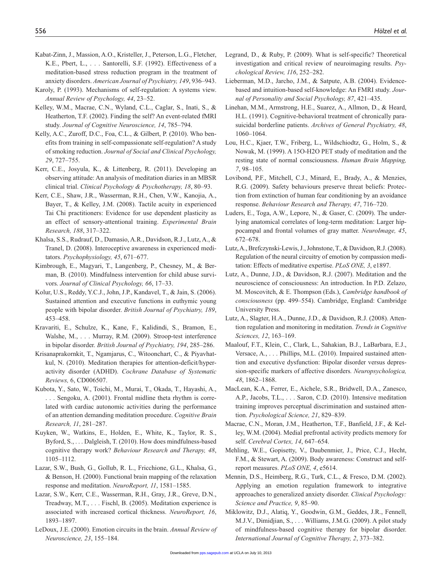- Kabat-Zinn, J., Massion, A.O., Kristeller, J., Peterson, L.G., Fletcher, K.E., Pbert, L., . . . Santorelli, S.F. (1992). Effectiveness of a meditation-based stress reduction program in the treatment of anxiety disorders. *American Journal of Psychiatry, 149*, 936–943.
- Karoly, P. (1993). Mechanisms of self-regulation: A systems view. *Annual Review of Psychology, 44*, 23–52.
- Kelley, W.M., Macrae, C.N., Wyland, C.L., Caglar, S., Inati, S., & Heatherton, T.F. (2002). Finding the self? An event-related fMRI study. *Journal of Cognitive Neuroscience, 14*, 785–794.
- Kelly, A.C., Zuroff, D.C., Foa, C.L., & Gilbert, P. (2010). Who benefits from training in self-compassionate self-regulation? A study of smoking reduction. *Journal of Social and Clinical Psychology, 29*, 727–755.
- Kerr, C.E., Josyula, K., & Littenberg, R. (2011). Developing an observing attitude: An analysis of meditation diaries in an MBSR clinical trial. *Clinical Psychology & Psychotherapy, 18*, 80–93.
- Kerr, C.E., Shaw, J.R., Wasserman, R.H., Chen, V.W., Kanojia, A., Bayer, T., & Kelley, J.M. (2008). Tactile acuity in experienced Tai Chi practitioners: Evidence for use dependent plasticity as an effect of sensory-attentional training. *Experimental Brain Research, 188*, 317–322.
- Khalsa, S.S., Rudrauf, D., Damasio, A.R., Davidson, R.J., Lutz, A., & Tranel, D. (2008). Interoceptive awareness in experienced meditators. *Psychophysiology, 45*, 671–677.
- Kimbrough, E., Magyari, T., Langenberg, P., Chesney, M., & Berman, B. (2010). Mindfulness intervention for child abuse survivors. *Journal of Clinical Psychology, 66*, 17–33.
- Kolur, U.S., Reddy, Y.C.J., John, J.P., Kandavel, T., & Jain, S. (2006). Sustained attention and executive functions in euthymic young people with bipolar disorder. *British Journal of Psychiatry, 189*, 453–458.
- Kravariti, E., Schulze, K., Kane, F., Kalidindi, S., Bramon, E., Walshe, M., . . . Murray, R.M. (2009). Stroop-test interference in bipolar disorder. *British Journal of Psychiatry, 194*, 285–286.
- Krisanaprakornkit, T., Ngamjarus, C., Witoonchart, C., & Piyavhatkul, N. (2010). Meditation therapies for attention-deficit/hyperactivity disorder (ADHD). *Cochrane Database of Systematic Reviews,* 6, CD006507.
- Kubota, Y., Sato, W., Toichi, M., Murai, T., Okada, T., Hayashi, A., . . . Sengoku, A. (2001). Frontal midline theta rhythm is correlated with cardiac autonomic activities during the performance of an attention demanding meditation procedure. *Cognitive Brain Research, 11*, 281–287.
- Kuyken, W., Watkins, E., Holden, E., White, K., Taylor, R. S., Byford, S., . . . Dalgleish, T. (2010). How does mindfulness-based cognitive therapy work? *Behaviour Research and Therapy, 48*, 1105–1112.
- Lazar, S.W., Bush, G., Gollub, R. L., Fricchione, G.L., Khalsa, G., & Benson, H. (2000). Functional brain mapping of the relaxation response and meditation. *NeuroReport, 11*, 1581–1585.
- Lazar, S.W., Kerr, C.E., Wasserman, R.H., Gray, J.R., Greve, D.N., Treadway, M.T., . . . Fischl, B. (2005). Meditation experience is associated with increased cortical thickness. *NeuroReport, 16*, 1893–1897.
- LeDoux, J.E. (2000). Emotion circuits in the brain. *Annual Review of Neuroscience, 23*, 155–184.
- Legrand, D., & Ruby, P. (2009). What is self-specific? Theoretical investigation and critical review of neuroimaging results. *Psychological Review, 116*, 252–282.
- Lieberman, M.D., Jarcho, J.M., & Satpute, A.B. (2004). Evidencebased and intuition-based self-knowledge: An FMRI study. *Journal of Personality and Social Psychology, 87*, 421–435.
- Linehan, M.M., Armstrong, H.E., Suarez, A., Allmon, D., & Heard, H.L. (1991). Cognitive-behavioral treatment of chronically parasuicidal borderline patients. *Archives of General Psychiatry, 48*, 1060–1064.
- Lou, H.C., Kjaer, T.W., Friberg, L., Wildschiodtz, G., Holm, S., & Nowak, M. (1999). A 15O-H2O PET study of meditation and the resting state of normal consciousness. *Human Brain Mapping, 7*, 98–105.
- Lovibond, P.F., Mitchell, C.J., Minard, E., Brady, A., & Menzies, R.G. (2009). Safety behaviours preserve threat beliefs: Protection from extinction of human fear conditioning by an avoidance response. *Behaviour Research and Therapy, 47*, 716–720.
- Luders, E., Toga, A.W., Lepore, N., & Gaser, C. (2009). The underlying anatomical correlates of long-term meditation: Larger hippocampal and frontal volumes of gray matter. *NeuroImage, 45*, 672–678.
- Lutz, A., Brefczynski-Lewis, J., Johnstone, T., & Davidson, R.J. (2008). Regulation of the neural circuitry of emotion by compassion meditation: Effects of meditative expertise. *PLoS ONE, 3*, e1897.
- Lutz, A., Dunne, J.D., & Davidson, R.J. (2007). Meditation and the neuroscience of consciousness: An introduction. In P.D. Zelazo, M. Moscovitch, & E. Thompson (Eds.), *Cambridge handbook of consciousness* (pp. 499–554). Cambridge, England: Cambridge University Press.
- Lutz, A., Slagter, H.A., Dunne, J.D., & Davidson, R.J. (2008). Attention regulation and monitoring in meditation. *Trends in Cognitive Sciences, 12*, 163–169.
- Maalouf, F.T., Klein, C., Clark, L., Sahakian, B.J., LaBarbara, E.J., Versace, A., . . . Phillips, M.L. (2010). Impaired sustained attention and executive dysfunction: Bipolar disorder versus depression-specific markers of affective disorders*. Neuropsychologica, 48*, 1862–1868.
- MacLean, K.A., Ferrer, E., Aichele, S.R., Bridwell, D.A., Zanesco, A.P., Jacobs, T.L., . . . Saron, C.D. (2010). Intensive meditation training improves perceptual discrimination and sustained attention. *Psychological Science, 21*, 829–839.
- Macrae, C.N., Moran, J.M., Heatherton, T.F., Banfield, J.F., & Kelley, W.M. (2004). Medial prefrontal activity predicts memory for self. *Cerebral Cortex, 14*, 647–654.
- Mehling, W.E., Gopisetty, V., Daubenmier, J., Price, C.J., Hecht, F.M., & Stewart, A. (2009). Body awareness: Construct and selfreport measures. *PLoS ONE, 4*, e5614.
- Mennin, D.S., Heimberg, R.G., Turk, C.L., & Fresco, D.M. (2002). Applying an emotion regulation framework to integrative approaches to generalized anxiety disorder. *Clinical Psychology: Science and Practice, 9*, 85–90.
- Miklowitz, D.J., Alatiq, Y., Goodwin, G.M., Geddes, J.R., Fennell, M.J.V., Dimidjian, S., . . . Williams, J.M.G. (2009). A pilot study of mindfulness-based cognitive therapy for bipolar disorder. *International Journal of Cognitive Therapy, 2*, 373–382.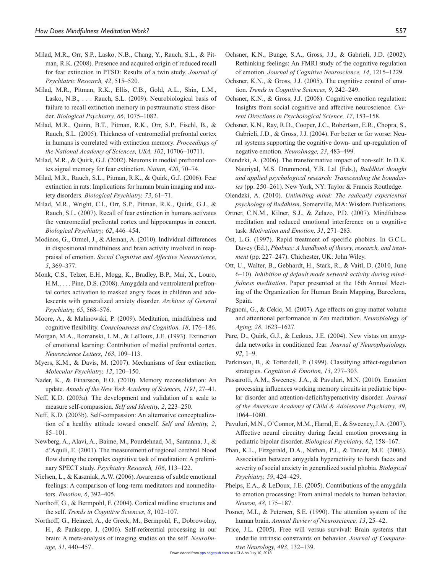- Milad, M.R., Orr, S.P., Lasko, N.B., Chang, Y., Rauch, S.L., & Pitman, R.K. (2008). Presence and acquired origin of reduced recall for fear extinction in PTSD: Results of a twin study. *Journal of Psychiatric Research, 42*, 515–520.
- Milad, M.R., Pitman, R.K., Ellis, C.B., Gold, A.L., Shin, L.M., Lasko, N.B., . . . Rauch, S.L. (2009). Neurobiological basis of failure to recall extinction memory in posttraumatic stress disorder. *Biological Psychiatry, 66*, 1075–1082.
- Milad, M.R., Quinn, B.T., Pitman, R.K., Orr, S.P., Fischl, B., & Rauch, S.L. (2005). Thickness of ventromedial prefrontal cortex in humans is correlated with extinction memory. *Proceedings of the National Academy of Sciences, USA, 102*, 10706–10711.
- Milad, M.R., & Quirk, G.J. (2002). Neurons in medial prefrontal cortex signal memory for fear extinction. *Nature, 420*, 70–74.
- Milad, M.R., Rauch, S.L., Pitman, R.K., & Quirk, G.J. (2006). Fear extinction in rats: Implications for human brain imaging and anxiety disorders. *Biological Psychiatry, 73*, 61–71.
- Milad, M.R., Wright, C.I., Orr, S.P., Pitman, R.K., Quirk, G.J., & Rauch, S.L. (2007). Recall of fear extinction in humans activates the ventromedial prefrontal cortex and hippocampus in concert. *Biological Psychiatry, 62*, 446–454.
- Modinos, G., Ormel, J., & Aleman, A. (2010). Individual differences in dispositional mindfulness and brain activity involved in reappraisal of emotion. *Social Cognitive and Affective Neuroscience, 5*, 369–377.
- Monk, C.S., Telzer, E.H., Mogg, K., Bradley, B.P., Mai, X., Louro, H.M., . . . Pine, D.S. (2008). Amygdala and ventrolateral prefrontal cortex activation to masked angry faces in children and adolescents with generalized anxiety disorder. *Archives of General Psychiatry, 65*, 568–576.
- Moore, A., & Malinowski, P. (2009). Meditation, mindfulness and cognitive flexibility. *Consciousness and Cognition, 18*, 176–186.
- Morgan, M.A., Romanski, L.M., & LeDoux, J.E. (1993). Extinction of emotional learning: Contribution of medial prefrontal cortex. *Neuroscience Letters, 163*, 109–113.
- Myers, K.M., & Davis, M. (2007). Mechanisms of fear extinction. *Molecular Psychiatry, 12*, 120–150.
- Nader, K., & Einarsson, E.O. (2010). Memory reconsolidation: An update. *Annals of the New York Academy of Sciences, 1191*, 27–41.
- Neff, K.D. (2003a). The development and validation of a scale to measure self-compassion. *Self and Identity, 2*, 223–250.
- Neff, K.D. (2003b). Self-compassion: An alternative conceptualization of a healthy attitude toward oneself. *Self and Identity, 2*, 85–101.
- Newberg, A., Alavi, A., Baime, M., Pourdehnad, M., Santanna, J., & d'Aquili, E. (2001). The measurement of regional cerebral blood flow during the complex cognitive task of meditation: A preliminary SPECT study. *Psychiatry Research, 106*, 113–122.
- Nielsen, L., & Kaszniak, A.W. (2006). Awareness of subtle emotional feelings: A comparison of long-term meditators and nonmeditators. *Emotion, 6*, 392–405.
- Northoff, G., & Bermpohl, F. (2004). Cortical midline structures and the self. *Trends in Cognitive Sciences, 8*, 102–107.
- Northoff, G., Heinzel, A., de Greck, M., Bermpohl, F., Dobrowolny, H., & Panksepp, J. (2006). Self-referential processing in our brain: A meta-analysis of imaging studies on the self. *NeuroImage, 31*, 440–457.
- Ochsner, K.N., Bunge, S.A., Gross, J.J., & Gabrieli, J.D. (2002). Rethinking feelings: An FMRI study of the cognitive regulation of emotion. *Journal of Cognitive Neuroscience, 14*, 1215–1229.
- Ochsner, K.N., & Gross, J.J. (2005). The cognitive control of emotion. *Trends in Cognitive Sciences, 9*, 242–249.
- Ochsner, K.N., & Gross, J.J. (2008). Cognitive emotion regulation: Insights from social cognitive and affective neuroscience. *Current Directions in Psychological Science, 17*, 153–158.
- Ochsner, K.N., Ray, R.D., Cooper, J.C., Robertson, E.R., Chopra, S., Gabrieli, J.D., & Gross, J.J. (2004). For better or for worse: Neural systems supporting the cognitive down- and up-regulation of negative emotion. *NeuroImage, 23*, 483–499.
- Olendzki, A. (2006). The transformative impact of non-self. In D.K. Nauriyal, M.S. Drummond, Y.B. Lal (Eds.), *Buddhist thought and applied psychological research: Transcending the boundaries* (pp. 250–261). New York, NY: Taylor & Francis Routledge.
- Olendzki, A. (2010). *Unlimiting mind: The radically experiential psychology of Buddhism*. Somerville, MA: Wisdom Publications.
- Ortner, C.N.M., Kilner, S.J., & Zelazo, P.D. (2007). Mindfulness meditation and reduced emotional interference on a cognitive task. *Motivation and Emotion, 31*, 271–283.
- Öst, L.G. (1997). Rapid treatment of specific phobias. In G.C.L. Davey (Ed.), *Phobias: A handbook of theory, research, and treatment* (pp. 227–247). Chichester, UK: John Wiley.
- Ott, U., Walter, B., Gebhardt, H., Stark, R., & Vaitl, D. (2010, June 6–10). *Inhibition of default mode network activity during mindfulness meditation*. Paper presented at the 16th Annual Meeting of the Organization for Human Brain Mapping, Barcelona, Spain.
- Pagnoni, G., & Cekic, M. (2007). Age effects on gray matter volume and attentional performance in Zen meditation. *Neurobiology of Aging, 28*, 1623–1627.
- Pare, D., Quirk, G.J., & Ledoux, J.E. (2004). New vistas on amygdala networks in conditioned fear. *Journal of Neurophysiology, 92*, 1–9.
- Parkinson, B., & Totterdell, P. (1999). Classifying affect-regulation strategies. *Cognition & Emotion, 13*, 277–303.
- Passarotti, A.M., Sweeney, J.A., & Pavuluri, M.N. (2010). Emotion processing influences working memory circuits in pediatric bipolar disorder and attention-deficit/hyperactivity disorder. *Journal of the American Academy of Child & Adolescent Psychiatry, 49*, 1064–1080.
- Pavuluri, M.N., O'Connor, M.M., Harral, E., & Sweeney, J.A. (2007). Affective neural circuitry during facial emotion processing in pediatric bipolar disorder. *Biological Psychiatry, 62*, 158–167.
- Phan, K.L., Fitzgerald, D.A., Nathan, P.J., & Tancer, M.E. (2006). Association between amygdala hyperactivity to harsh faces and severity of social anxiety in generalized social phobia. *Biological Psychiatry, 59*, 424–429.
- Phelps, E.A., & LeDoux, J.E. (2005). Contributions of the amygdala to emotion processing: From animal models to human behavior. *Neuron, 48*, 175–187.
- Posner, M.I., & Petersen, S.E. (1990). The attention system of the human brain. *Annual Review of Neuroscience, 13*, 25–42.
- Price, J.L. (2005). Free will versus survival: Brain systems that underlie intrinsic constraints on behavior. *Journal of Comparative Neurology, 493*, 132–139.

Downloaded from [pps.sagepub.com](http://pps.sagepub.com/) at UCLA on July 10, 2013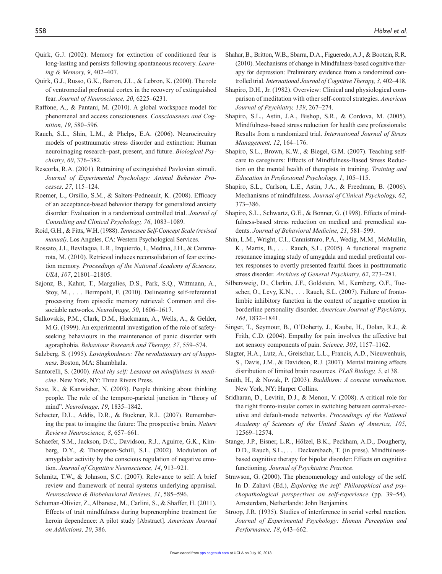- Quirk, G.J. (2002). Memory for extinction of conditioned fear is long-lasting and persists following spontaneous recovery. *Learning & Memory, 9*, 402–407.
- Quirk, G.J., Russo, G.K., Barron, J.L., & Lebron, K. (2000). The role of ventromedial prefrontal cortex in the recovery of extinguished fear. *Journal of Neuroscience, 20*, 6225–6231.
- Raffone, A., & Pantani, M. (2010). A global workspace model for phenomenal and access consciousness. *Consciousness and Cognition, 19*, 580–596.
- Rauch, S.L., Shin, L.M., & Phelps, E.A. (2006). Neurocircuitry models of posttraumatic stress disorder and extinction: Human neuroimaging research–past, present, and future. *Biological Psychiatry, 60*, 376–382.
- Rescorla, R.A. (2001). Retraining of extinguished Pavlovian stimuli. *Journal of Experimental Psychology: Animal Behavior Processes, 27*, 115–124.
- Roemer, L., Orsillo, S.M., & Salters-Pedneault, K. (2008). Efficacy of an acceptance-based behavior therapy for generalized anxiety disorder: Evaluation in a randomized controlled trial. *Journal of Consulting and Clinical Psychology, 76*, 1083–1089.
- Roid, G.H., & Fitts, W.H. (1988). *Tennessee Self-Concept Scale (revised manual)*. Los Angeles, CA: Western Psychological Services.
- Rossato, J.I., Bevilaqua, L.R., Izquierdo, I., Medina, J.H., & Cammarota, M. (2010). Retrieval induces reconsolidation of fear extinction memory. *Proceedings of the National Academy of Sciences, USA*, *107*, 21801–21805.
- Sajonz, B., Kahnt, T., Margulies, D.S., Park, S.Q., Wittmann, A., Stoy, M., . . . Bermpohl, F. (2010). Delineating self-referential processing from episodic memory retrieval: Common and dissociable networks. *NeuroImage, 50*, 1606–1617.
- Salkovskis, P.M., Clark, D.M., Hackmann, A., Wells, A., & Gelder, M.G. (1999). An experimental investigation of the role of safetyseeking behaviours in the maintenance of panic disorder with agoraphobia. *Behaviour Research and Therapy, 37*, 559–574.
- Salzberg, S. (1995). *Lovingkindness: The revolutionary art of happiness*. Boston, MA: Shambhala.
- Santorelli, S. (2000). *Heal thy self: Lessons on mindfulness in medicine*. New York, NY: Three Rivers Press.
- Saxe, R., & Kanwisher, N. (2003). People thinking about thinking people. The role of the temporo-parietal junction in "theory of mind". *NeuroImage, 19*, 1835–1842.
- Schacter, D.L., Addis, D.R., & Buckner, R.L. (2007). Remembering the past to imagine the future: The prospective brain. *Nature Reviews Neuroscience, 8*, 657–661.
- Schaefer, S.M., Jackson, D.C., Davidson, R.J., Aguirre, G.K., Kimberg, D.Y., & Thompson-Schill, S.L. (2002). Modulation of amygdalar activity by the conscious regulation of negative emotion. *Journal of Cognitive Neuroscience, 14*, 913–921.
- Schmitz, T.W., & Johnson, S.C. (2007). Relevance to self: A brief review and framework of neural systems underlying appraisal. *Neuroscience & Biobehavioral Reviews, 31*, 585–596.
- Schuman-Olivier, Z., Albanese, M., Carlini, S., & Shaffer, H. (2011). Effects of trait mindfulness during buprenorphine treatment for heroin dependence: A pilot study [Abstract]. *American Journal on Addictions, 20*, 386.
- Shahar, B., Britton, W.B., Sbarra, D.A., Figueredo, A.J., & Bootzin, R.R. (2010). Mechanisms of change in Mindfulness-based cognitive therapy for depression: Preliminary evidence from a randomized controlled trial. *International Journal of Cognitive Therapy, 3*, 402–418.
- Shapiro, D.H., Jr. (1982). Overview: Clinical and physiological comparison of meditation with other self-control strategies. *American Journal of Psychiatry, 139*, 267–274.
- Shapiro, S.L., Astin, J.A., Bishop, S.R., & Cordova, M. (2005). Mindfulness-based stress reduction for health care professionals: Results from a randomized trial. *International Journal of Stress Management, 12*, 164–176.
- Shapiro, S.L., Brown, K.W., & Biegel, G.M. (2007). Teaching selfcare to caregivers: Effects of Mindfulness-Based Stress Reduction on the mental health of therapists in training. *Training and Education in Professional Psychology, 1*, 105–115.
- Shapiro, S.L., Carlson, L.E., Astin, J.A., & Freedman, B. (2006). Mechanisms of mindfulness. *Journal of Clinical Psychology, 62*, 373–386.
- Shapiro, S.L., Schwartz, G.E., & Bonner, G. (1998). Effects of mindfulness-based stress reduction on medical and premedical students. *Journal of Behavioral Medicine, 21*, 581–599.
- Shin, L.M., Wright, C.I., Cannistraro, P.A., Wedig, M.M., McMullin, K., Martis, B., . . . Rauch, S.L. (2005). A functional magnetic resonance imaging study of amygdala and medial prefrontal cortex responses to overtly presented fearful faces in posttraumatic stress disorder. *Archives of General Psychiatry, 62*, 273–281.
- Silbersweig, D., Clarkin, J.F., Goldstein, M., Kernberg, O.F., Tuescher, O., Levy, K.N., . . . Rauch, S.L. (2007). Failure of frontolimbic inhibitory function in the context of negative emotion in borderline personality disorder. *American Journal of Psychiatry, 164*, 1832–1841.
- Singer, T., Seymour, B., O'Doherty, J., Kaube, H., Dolan, R.J., & Frith, C.D. (2004). Empathy for pain involves the affective but not sensory components of pain. *Science, 303*, 1157–1162.
- Slagter, H.A., Lutz, A., Greischar, L.L., Francis, A.D., Nieuwenhuis, S., Davis, J.M., & Davidson, R.J. (2007). Mental training affects distribution of limited brain resources. *PLoS Biology, 5*, e138.
- Smith, H., & Novak, P. (2003). *Buddhism: A concise introduction*. New York, NY: Harper Collins.
- Sridharan, D., Levitin, D.J., & Menon, V. (2008). A critical role for the right fronto-insular cortex in switching between central-executive and default-mode networks. *Proceedings of the National Academy of Sciences of the United States of America, 105*, 12569–12574.
- Stange, J.P., Eisner, L.R., Hölzel, B.K., Peckham, A.D., Dougherty, D.D., Rauch, S.L., . . . Deckersbach, T. (in press). Mindfulnessbased cognitive therapy for bipolar disorder: Effects on cognitive functioning. *Journal of Psychiatric Practice*.
- Strawson, G. (2000). The phenomenology and ontology of the self. In D. Zahavi (Ed.), *Exploring the self: Philosophical and psychopathological perspectives on self-experience* (pp. 39–54). Amsterdam, Netherlands: John Benjamins.
- Stroop, J.R. (1935). Studies of interference in serial verbal reaction. *Journal of Experimental Psychology: Human Perception and Performance, 18*, 643–662.